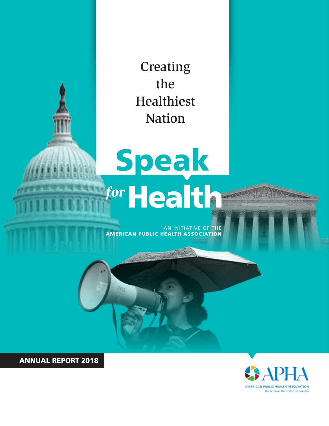Creating the Healthiest Nation

## **Speak** for **Health**

AN INITIATIVE OF THE **AMERICAN PUBLIC HEALTH ASSOCIATION** 

ANNUAL REPORT 2018

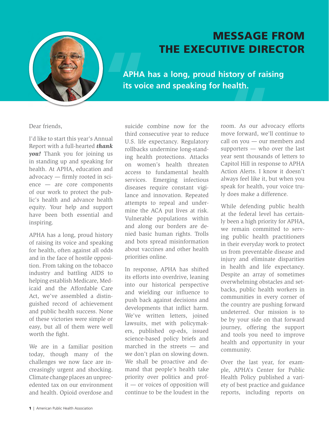

#### MESSAGE FROM THE EXECUTIVE DIRECTOR

**APHA has a long, proud history of raising its voice and speaking for health.** 

Dear friends,

I'd like to start this year's Annual Report with a full-hearted *thank you!* Thank you for joining us in standing up and speaking for health. At APHA, education and advocacy — frmly rooted in science — are core components of our work to protect the public's health and advance health equity. Your help and support have been both essential and inspiring.

APHA has a long, proud history of raising its voice and speaking for health, often against all odds and in the face of hostile opposition. From taking on the tobacco industry and battling AIDS to helping establish Medicare, Medicaid and the Affordable Care Act, we've assembled a distinguished record of achievement and public health success. None of these victories were simple or easy, but all of them were well worth the fight.

We are in a familiar position today, though many of the challenges we now face are increasingly urgent and shocking. Climate change places an unprecedented tax on our environment and health. Opioid overdose and suicide combine now for the third consecutive year to reduce U.S. life expectancy. Regulatory rollbacks undermine long-standing health protections. Attacks on women's health threaten access to fundamental health services. Emerging infectious diseases require constant vigilance and innovation. Repeated attempts to repeal and undermine the ACA put lives at risk. Vulnerable populations within and along our borders are denied basic human rights. Trolls and bots spread misinformation about vaccines and other health priorities online.

In response, APHA has shifted its efforts into overdrive, leaning into our historical perspective and wielding our infuence to push back against decisions and developments that infict harm. We've written letters, joined lawsuits, met with policymakers, published op-eds, issued science-based policy briefs and marched in the streets — and we don't plan on slowing down. We shall be proactive and demand that people's health take priority over politics and profit — or voices of opposition will continue to be the loudest in the room. As our advocacy efforts move forward, we'll continue to call on you — our members and supporters — who over the last year sent thousands of letters to **ealth.**<br>
bm. As our adv<br>
bve forward, we'll<br>
ll on you — our i Capitol Hill in response to APHA Action Alerts. I know it doesn't always feel like it, but when you speak for health, your voice truly does make a difference.

While defending public health at the federal level has certainly been a high priority for APHA, we remain committed to serving public health practitioners in their everyday work to protect us from preventable disease and injury and eliminate disparities in health and life expectancy. Despite an array of sometimes overwhelming obstacles and setbacks, public health workers in communities in every corner of the country are pushing forward undeterred. Our mission is to be by your side on that forward journey, offering the support and tools you need to improve health and opportunity in your community.

Over the last year, for example, APHA's Center for Public Health Policy published a variety of best practice and guidance reports, including reports on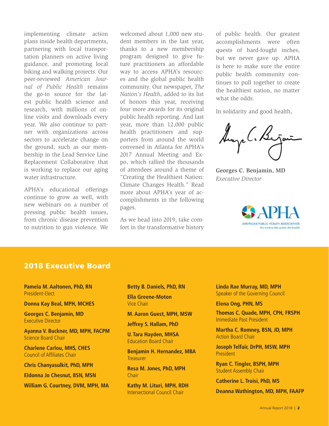implementing climate action plans inside health departments, partnering with local transportation planners on active living guidance, and promoting local biking and walking projects. Our peer-reviewed *American Journal of Public Health* remains the go-to source for the latest public health science and research, with millions of online visits and downloads every year. We also continue to partner with organizations across sectors to accelerate change on the ground, such as our membership in the Lead Service Line Replacement Collaborative that is working to replace our aging water infrastructure.

APHA's educational offerings continue to grow as well, with new webinars on a number of pressing public health issues, from chronic disease prevention to nutrition to gun violence. We

welcomed about 1,000 new student members in the last year, thanks to a new membership program designed to give future practitioners an affordable way to access APHA's resources and the global public health community. Our newspaper, *The Nation's Health*, added to its list of honors this year, receiving four more awards for its original public health reporting. And last year, more than 12,000 public health practitioners and supporters from around the world convened in Atlanta for APHA's 2017 Annual Meeting and Expo, which rallied the thousands of attendees around a theme of "Creating the Healthiest Nation: Climate Changes Health." Read more about APHA's year of accomplishments in the following pages.

As we head into 2019, take comfort in the transformative history of public health. Our greatest accomplishments were often quests of hard-fought inches, but we never gave up. APHA is here to make sure the entire public health community continues to pull together to create the healthiest nation, no matter what the odds.

In solidarity and good health,

Augel. B.

**Georges C. Benjamin, MD**  *Executive Director* 



#### 2018 Executive Board

**Pamela M. Aaltonen, PhD, RN**  President-Elect

**Donna Kay Beal, MPH, MCHES** 

**Georges C. Benjamin, MD**  Executive Director

**Ayanna V. Buckner, MD, MPH, FACPM**  Science Board Chair

**Charlene Carlou, MHS, CHES**  Council of Affliates Chair

**Chris Chanyasulkit, PhD, MPH** 

**Eldonna Jo Chesnut, BSN, MSN** 

**William G. Courtney, DVM, MPH, MA** 

#### **Betty B. Daniels, PhD, RN**

**Ella Greene-Moton**  Vice Chair

**M. Aaron Guest, MPH, MSW** 

**Jeffrey S. Hallam, PhD** 

**U. Tara Hayden, MHSA**  Education Board Chair

**Benjamin H. Hernandez, MBA Treasurer** 

**Resa M. Jones, PhD, MPH Chair** 

**Kathy M. Lituri, MPH, RDH**  Intersectional Council Chair

**Linda Rae Murray, MD, MPH**  Speaker of the Governing Council

#### **Elena Ong, PHN, MS**

**Thomas C. Quade, MPH, CPH, FRSPH**  Immediate Past President

**Martha C. Romney, BSN, JD, MPH**  Action Board Chair

**Joseph Telfair, DrPH, MSW, MPH**  President

**Ryan C. Tingler, BSPH, MPH**  Student Assembly Chair

**Catherine L. Troisi, PhD, MS** 

**Deanna Wathington, MD, MPH, FAAFP**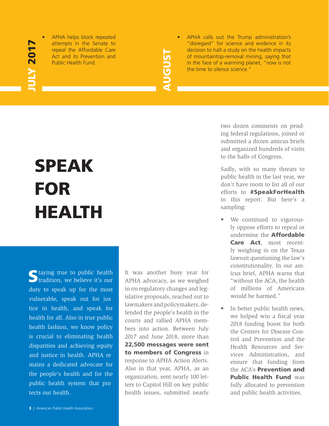## **ULY 2017** JULY 2017

• APHA helps block repeated

# AUGUST

• APHA calls out the Trump administration's attempts in the Senate to "disregard" for science and evidence in its repeal the Affordable Care decision to halt a study on the health impacts<br>Act and its Prevention and<br>Public Health Fund.<br>Decision to halt a study on the health impacts<br>of mountaintop-removal mining, saying that<br>in the face Act and its Prevention and **of mountaintop-removal mining, saying that**<br>Public Health Fund. The face of a warming planet. "now is not in the face of a warming planet, "now is not the time to silence science."

## SPEAK FOR HEALTH

vulnerable, speak out for jus and justice in health. APHA re - public health system that pro tects our health.  $\epsilon$  taying true to public health **tradition**, we believe it's our duty to speak up for the most tice in health, and speak for health for all. Also in true public health fashion, we know policy is crucial to eliminating health disparities and achieving equity mains a dedicated advocate for the people's health and for the

It was another busy year for APHA advocacy, as we weighed in on regulatory changes and legislative proposals, reached out to lawmakers and policymakers, defended the people's health in the courts and rallied APHA members into action. Between July 2017 and June 2018, more than 22,500 messages were sent to members of Congress in response to APHA Action Alerts. Also in that year, APHA, as an organization, sent nearly 100 letters to Capitol Hill on key public health issues, submitted nearly two dozen comments on pending federal regulations, joined or submitted a dozen amicus briefs and organized hundreds of visits to the halls of Congress.

Sadly, with so many threats to public health in the last year, we don't have room to list all of our efforts to #SpeakForHealth in this report. But here's a sampling:

- We continued to vigorously oppose efforts to repeal or undermine the Affordable Care Act, most recently weighing in on the Texas lawsuit questioning the law's constitutionality. In our amicus brief, APHA warns that "without the ACA, the health of millions of Americans would be harmed."
- In better public health news, we helped win a fiscal year 2018 funding boost for both the Centers for Disease Control and Prevention and the Health Resources and Services Administration, and ensure that funding from the ACA's Prevention and Public Health Fund was fully allocated to prevention and public health activities.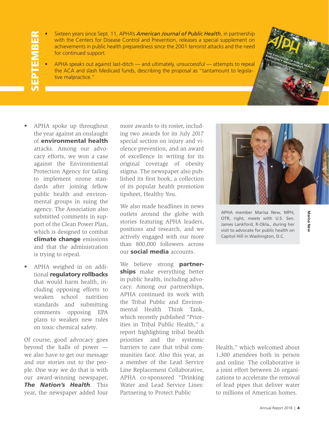## SEPTEMBER **SEPTEMBER**

- Sixteen years since Sept. 11, APHA's *American Journal of Public Health*, in partnership with the Centers for Disease Control and Prevention, releases a special supplement on achievements in public health preparedness since the 2001 terrorist attacks and the need for continued support.
- APHA speaks out against last-ditch and ultimately, unsuccessful attempts to repeal the ACA and slash Medicaid funds, describing the proposal as "tantamount to legislative malpractice."
- APHA spoke up throughout the year against an onslaught of environmental health attacks. Among our advocacy efforts, we won a case against the Environmental Protection Agency for failing to implement ozone standards after joining fellow public health and environmental groups in suing the agency. The Association also submitted comments in support of the Clean Power Plan, which is designed to combat climate change emissions and that the administration is trying to repeal.
- APHA weighed in on additional regulatory rollbacks that would harm health, including opposing efforts to weaken school nutrition standards and submitting comments opposing EPA plans to weaken new rules on toxic chemical safety.

Of course, good advocacy goes beyond the halls of power we also have to get our message and our stories out to the people. One way we do that is with our award-winning newspaper, *The Nation's Health*. This year, the newspaper added four more awards to its roster, including two awards for its July 2017 special section on injury and violence prevention, and an award of excellence in writing for its original coverage of obesity stigma. The newspaper also published its frst book, a collection of its popular health promotion tipsheet, Healthy You.

We also made headlines in news outlets around the globe with stories featuring APHA leaders, positions and research, and we actively engaged with our more than 800,000 followers across our social media accounts.

We believe strong **partner**ships make everything better in public health, including advocacy. Among our partnerships, APHA continued its work with the Tribal Public and Environmental Health Think Tank, which recently published "Priorities in Tribal Public Health," a report highlighting tribal health priorities and the systemic barriers to care that tribal communities face. Also this year, as a member of the Lead Service Line Replacement Collaborative, APHA co-sponsored "Drinking Water and Lead Service Lines: Partnering to Protect Public



APHA member Marisa New, MPH, OTR, right, meets with U.S. Sen. James Lankford, R-Okla., during her visit to advocate for public health on Capitol Hill in Washington, D.C.

Marisa New **Marisa New** 

Health," which welcomed about 1,300 attendees both in person and online. The collaborative is a joint effort between 26 organizations to accelerate the removal of lead pipes that deliver water to millions of American homes.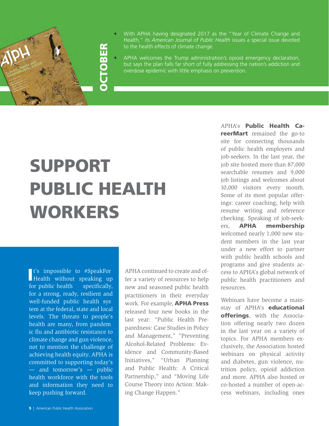

- With APHA having designated 2017 as the "Year of Climate Change and Health," its *American Journal of Public Health* issues a special issue devoted to the health effects of climate change.
- APHA welcomes the Trump administration's opioid emergency declaration, but says the plan falls far short of fully addressing the nation's addiction and overdose epidemic with little emphasis on prevention.

## SUPPORT PUBLIC HEALTH WORKERS

OCTOBER

**FSQL** 

 $\blacksquare$  t's impossible to #SpeakFor specifically, well-funded public health sys health are many, from pandem I t's impossible to #SpeakFor Health without speaking up for public health for a strong, ready, resilient and tem at the federal, state and local levels. The threats to people's ic flu and antibiotic resistance to climate change and gun violence, not to mention the challenge of achieving health equity. APHA is committed to supporting today's — and tomorrow's — public health workforce with the tools and information they need to keep pushing forward.

APHA continued to create and offer a variety of resources to help new and seasoned public health practitioners in their everyday work. For example, APHA Press released four new books in the last year: "Public Health Preparedness: Case Studies in Policy and Management," "Preventing Alcohol-Related Problems: Evidence and Community-Based Initiatives," "Urban Planning and Public Health: A Critical Partnership," and "Moving Life Course Theory into Action: Making Change Happen."

APHA's Public Health CareerMart remained the go-to site for connecting thousands of public health employers and job-seekers. In the last year, the job site hosted more than 87,000 searchable resumes and 9,000 job listings and welcomes about 10,000 visitors every month. Some of its most popular offerings: career coaching, help with resume writing and reference checking. Speaking of job-seekers, APHA membership welcomed nearly 1,000 new student members in the last year under a new effort to partner with public health schools and programs and give students access to APHA's global network of public health practitioners and resources.

Webinars have become a mainstay of APHA's **educational** offerings, with the Association offering nearly two dozen in the last year on a variety of topics. For APHA members exclusively, the Association hosted webinars on physical activity and diabetes, gun violence, nutrition policy, opioid addiction and more. APHA also hosted or co-hosted a number of open-access webinars, including ones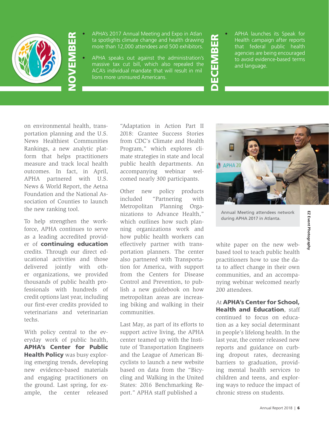

- APHA's 2017 Annual Meeting and Expo in Atlan Arries 2017 Annual Meeting and Export Atlantic Arries Reports additional discrete in the Arries of Arries Reports to the spotlights climate change and health drawing
- massive tax cut bill, which also repealed the **and and language.**<br>ACA's individual mandate that will result in mil • APHA's 2017 Annual Meeting and Expo in Atlan ta spotlights climate change and health drawing the Health campaign after reports that federal public health agencies are being encouraged<br>
APHA speaks out against the admini more than 12,000 attendees and 500 exhibitors.<br>
APHA speaks out against the administration's<br>
massive tax cut bill, which also repealed the<br>
ACA's individual mandate that will result in mil<br>
lions more uninsured Americans. APHA speaks out against the administration's  $\sum_{n=1}^{\infty}$  to avoid evidence-based terms massive tax cut bill, which also repealed the  $\sum_{n=1}^{\infty}$  and language lions more uninsured Americans.
- agencies are being encouraged

on environmental health, transportation planning and the U.S. News Healthiest Communities Rankings, a new analytic platform that helps practitioners measure and track local health outcomes. In fact, in April, APHA partnered with U.S. News & World Report, the Aetna Foundation and the National Association of Counties to launch the new ranking tool.

To help strengthen the workforce, APHA continues to serve as a leading accredited provider of **continuing education** credits. Through our direct educational activities and those delivered jointly with other organizations, we provided thousands of public health professionals with hundreds of credit options last year, including our first-ever credits provided to veterinarians and veterinarian techs.

With policy central to the everyday work of public health, APHA's Center for Public Health Policy was busy exploring emerging trends, developing new evidence-based materials and engaging practitioners on the ground. Last spring, for example, the center released

"Adaptation in Action Part II 2018: Grantee Success Stories from CDC's Climate and Health Program," which explores climate strategies in state and local public health departments. An accompanying webinar welcomed nearly 300 participants.

Other new policy products included "Partnering with Metropolitan Planning Organizations to Advance Health," which outlines how such planning organizations work and how public health workers can effectively partner with transportation planners. The center also partnered with Transportation for America, with support from the Centers for Disease Control and Prevention, to publish a new guidebook on how metropolitan areas are increasing biking and walking in their communities.

Last May, as part of its efforts to support active living, the APHA center teamed up with the Institute of Transportation Engineers and the League of American Bicyclists to launch a new website based on data from the "Bicycling and Walking in the United States: 2016 Benchmarking Report." APHA staff published a



Annual Meeting attendees network during APHA 2017 in Atlanta.

white paper on the new webbased tool to teach public health practitioners how to use the data to affect change in their own communities, and an accompa**EZ Event Photography** 

EZ Event Photography

At APHA's Center for School, Health and Education, staff continued to focus on education as a key social determinant in people's lifelong health. In the last year, the center released new reports and guidance on curbing dropout rates, decreasing barriers to graduation, providing mental health services to children and teens, and exploring ways to reduce the impact of chronic stress on students.

nying webinar welcomed nearly

200 attendees.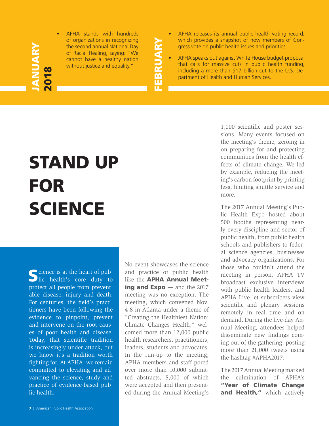### JANUARY **INUARY** 2018

• APHA stands with hundreds of organizations in recognizing the second annual National Day of Racial Healing, saying: "We cannot have a healthy nation without justice and equality."

FEBRUARY FEBRUARY

- APHA releases its annual public health voting record, which provides a snapshot of how members of Congress vote on public health issues and priorities.
- APHA speaks out against White House budget proposal that calls for massive cuts in public health funding, including a more than \$17 billion cut to the U.S. Department of Health and Human Services.

## STAND UP FOR **SCIENCE**

cience is at the heart of pub protect all people from prevent For centuries, the field's practi and intervene on the root caus committed to elevating and ad - practice of evidence-based pub lic health.  $\sum$ lic health's core duty to able disease, injury and death. tioners have been following the evidence to pinpoint, prevent es of poor health and disease. Today, that scientifc tradition is increasingly under attack, but we know it's a tradition worth fghting for. At APHA, we remain vancing the science, study and

No event showcases the science and practice of public health like the **APHA Annual Meet**ing and Expo — and the 2017 meeting was no exception. The meeting, which convened Nov. 4-8 in Atlanta under a theme of "Creating the Healthiest Nation: Climate Changes Health," welcomed more than 12,000 public health researchers, practitioners, leaders, students and advocates. In the run-up to the meeting, APHA members and staff pored over more than 10,000 submitted abstracts, 5,000 of which were accepted and then presented during the Annual Meeting's 1,000 scientifc and poster sessions. Many events focused on the meeting's theme, zeroing in on preparing for and protecting communities from the health effects of climate change. We led by example, reducing the meeting's carbon footprint by printing less, limiting shuttle service and more.

The 2017 Annual Meeting's Public Health Expo hosted about 500 booths representing nearly every discipline and sector of public health, from public health schools and publishers to federal science agencies, businesses and advocacy organizations. For those who couldn't attend the meeting in person, APHA TV broadcast exclusive interviews with public health leaders, and APHA Live let subscribers view scientifc and plenary sessions remotely in real time and on demand. During the five-day Annual Meeting, attendees helped disseminate new findings coming out of the gathering, posting more than 21,000 tweets using the hashtag #APHA2017.

The 2017 Annual Meeting marked the culmination of APHA's "Year of Climate Change and Health," which actively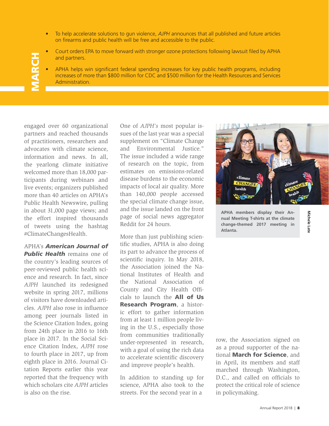- To help accelerate solutions to gun violence, *AJPH* announces that all published and future articles on firearms and public health will be free and accessible to the public.
- Court orders EPA to move forward with stronger ozone protections following lawsuit fled by APHA and partners.
- APHA helps win signifcant federal spending increases for key public health programs, including increases of more than \$800 million for CDC and \$500 million for the Health Resources and Services Administration.

engaged over 60 organizational partners and reached thousands of practitioners, researchers and advocates with climate science, information and news. In all, the yearlong climate initiative welcomed more than 18,000 participants during webinars and live events; organizers published more than 40 articles on APHA's Public Health Newswire, pulling in about 31,000 page views; and the effort inspired thousands of tweets using the hashtag #ClimateChangesHealth.

**MARCH** 

**ARCH** 

APHA's *American Journal of*  **Public Health** remains one of the country's leading sources of peer-reviewed public health science and research. In fact, since *AJPH* launched its redesigned website in spring 2017, millions of visitors have downloaded articles. *AJPH* also rose in infuence among peer journals listed in the Science Citation Index, going from 24th place in 2016 to 16th place in 2017. In the Social Science Citation Index, *AJPH* rose to fourth place in 2017, up from eighth place in 2016. Journal Citation Reports earlier this year reported that the frequency with which scholars cite *AJPH* articles is also on the rise.

One of *AJPH's* most popular issues of the last year was a special supplement on "Climate Change and Environmental Justice." The issue included a wide range of research on the topic, from estimates on emissions-related disease burdens to the economic impacts of local air quality. More than 140,000 people accessed the special climate change issue, and the issue landed on the front page of social news aggregator Reddit for 24 hours.

More than just publishing scientific studies, APHA is also doing its part to advance the process of scientific inquiry. In May 2018, the Association joined the National Institutes of Health and the National Association of County and City Health Offcials to launch the All of Us Research Program, a historic effort to gather information from at least 1 million people living in the U.S., especially those from communities traditionally under-represented in research, with a goal of using the rich data to accelerate scientific discovery and improve people's health.

In addition to standing up for science, APHA also took to the streets. For the second year in a



**APHA members display their Annual Meeting T-shirts at the climate change-themed 2017 meeting in Atlanta.** 

Michele Late **Michele Late**

row, the Association signed on as a proud supporter of the national **March for Science**, and in April, its members and staff marched through Washington, D.C., and called on officials to protect the critical role of science in policymaking.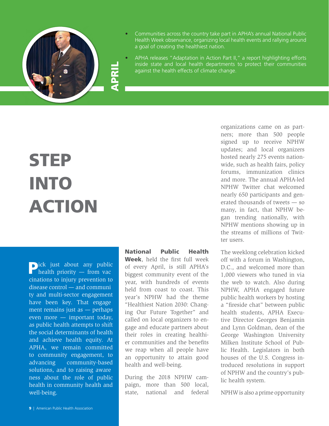

- Communities across the country take part in APHA's annual National Public Health Week observance, organizing local health events and rallying around a goal of creating the healthiest nation.
- APHA releases "Adaptation in Action Part II," a report highlighting efforts inside state and local health departments to protect their communities against the health effects of climate change.

## **STEP** INTO ACTION

pick just about any public<br>health priority — from vac  $disease control - and communi$ have been key. That engage solutions, and to raising aware cinations to injury prevention to ty and multi-sector engagement ment remains just as  $-$  perhaps even more — important today, as public health attempts to shift the social determinants of health and achieve health equity. At APHA, we remain committed to community engagement, to advancing community-based ness about the role of public health in community health and well-being.

National Public Health Week, held the first full week of every April, is still APHA's biggest community event of the year, with hundreds of events held from coast to coast. This year's NPHW had the theme "Healthiest Nation 2030: Changing Our Future Together" and called on local organizers to engage and educate partners about their roles in creating healthier communities and the benefits we reap when all people have an opportunity to attain good health and well-being.

During the 2018 NPHW campaign, more than 500 local, state, national and federal

organizations came on as partners; more than 500 people signed up to receive NPHW updates; and local organizers hosted nearly 275 events nationwide, such as health fairs, policy forums, immunization clinics and more. The annual APHA-led NPHW Twitter chat welcomed nearly 650 participants and generated thousands of tweets — so many, in fact, that NPHW began trending nationally, with NPHW mentions showing up in the streams of millions of Twitter users.

The weeklong celebration kicked off with a forum in Washington, D.C., and welcomed more than 1,000 viewers who tuned in via the web to watch. Also during NPHW, APHA engaged future public health workers by hosting a "freside chat" between public health students, APHA Executive Director Georges Benjamin and Lynn Goldman, dean of the George Washington University Milken Institute School of Public Health. Legislators in both houses of the U.S. Congress introduced resolutions in support of NPHW and the country's public health system.

NPHW is also a prime opportunity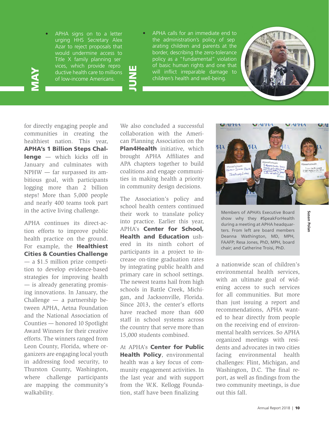MAY

Title X family planning ser - Title X family planning ser vices, which provide repro • APHA signs on to a letter urging HHS Secretary Alex Azar to reject proposals that would undermine access to ductive health care to millions of low-income Americans.

the administration's policy of sep • APHA calls for an immediate end to arating children and parents at the border, describing the zero-tolerance policy as a "fundamental" violation of basic human rights and one that will infict irreparable damage to children's health and well-being.



for directly engaging people and communities in creating the healthiest nation. This year, APHA's 1 Billion Steps Challenge — which kicks off in January and culminates with NPHW — far surpassed its ambitious goal, with participants logging more than 2 billion steps! More than 5,000 people and nearly 400 teams took part in the active living challenge.

APHA continues its direct-action efforts to improve public health practice on the ground. For example, the **Healthiest** Cities & Counties Challenge — a \$1.5 million prize competition to develop evidence-based strategies for improving health — is already generating promising innovations. In January, the Challenge — a partnership between APHA, Aetna Foundation and the National Association of Counties — honored 10 Spotlight Award Winners for their creative efforts. The winners ranged from Leon County, Florida, where organizers are engaging local youth in addressing food security, to Thurston County, Washington, where challenge participants are mapping the community's walkability.

We also concluded a successful collaboration with the American Planning Association on the Plan4Health initiative, which brought APHA Affliates and APA chapters together to build coalitions and engage communities in making health a priority in community design decisions.

**JUNE** 

The Association's policy and school health centers continued their work to translate policy into practice. Earlier this year, APHA's Center for School, Health and Education ushered in its ninth cohort of participants in a project to increase on-time graduation rates by integrating public health and primary care in school settings. The newest teams hail from high schools in Battle Creek, Michigan, and Jacksonville, Florida. Since 2013, the center's efforts have reached more than 600 staff in school systems across the country that serve more than 15,000 students combined.

At APHA's Center for Public Health Policy, environmental health was a key focus of community engagement activities. In the last year and with support from the W.K. Kellogg Foundation, staff have been fnalizing



**Susan Polan** 

Susan Polan

Members of APHA's Executive Board show why they #SpeakForHealth during a meeting at APHA headquarters. From left are board members Deanna Wathington, MD, MPH, FAAFP; Resa Jones, PhD, MPH, board chair; and Catherine Troisi, PhD.

a nationwide scan of children's environmental health services, with an ultimate goal of widening access to such services for all communities. But more than just issuing a report and recommendations, APHA wanted to hear directly from people on the receiving end of environmental health services. So APHA organized meetings with residents and advocates in two cities facing environmental health challenges: Flint, Michigan, and Washington, D.C. The final report, as well as fndings from the two community meetings, is due out this fall.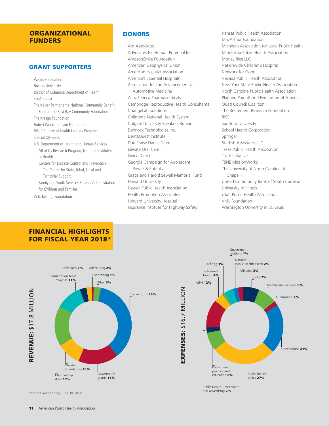#### ORGANIZATIONAL FUNDERS

#### GRANT SUPPORTERS

Aetna Foundation Boston University District of Columbia Department of Health ecoAmerica The Kaiser Permanente National Community Benefit Fund at the East Bay Community Foundation The Kresge Foundation Robert Wood Johnson Foundation RWJF Culture of Health Leaders Program Special Olympics U.S. Department of Health and Human Services All of Us Research Program, National Institutes of Health Centers for Disease Control and Prevention The Center for State, Tribal, Local and Territorial Support Family and Youth Services Bureau, Administration for Children and Families W.K. Kellogg Foundation

#### **DONORS**

Abt Associates Advocates for Human Potential Inc. AmazonSmile Foundation American Geophysical Union American Hospital Association America's Essential Hospitals Association for the Advancement of Automotive Medicine AstraZeneca Pharmaceuticals Cambridge Reproductive Health Consultants ChangeLab Solutions Children's National Health System Colgate University Speakers Bureau Delmock Technologies Inc. DentaQuest Institute Due Praise Dance Team Elevate Oral Care Geico Direct Georgia Campaign for Adolescent Power & Potential Grace and Harold Sewell Memorial Fund Harvard University Hawaii Public Health Association Health Promotion Associates Howard University Hospital Insurance Institute for Highway Safety

Kansas Public Health Association MacArthur Foundation Michigan Association for Local Public Health Minnesota Public Health Association Motley Rice LLC Nationwide Children's Hospital Network for Good Nevada Public Health Association New York State Public Health Association North Carolina Public Health Association Planned Parenthood Federation of America Quad Council Coalition The Retirement Research Foundation RISE Samford University School Health Corporation Springer Starfish Associates LLC Texas Public Health Association Truth Initiative TSNE MissionWorks The University of North Carolina at Chapel Hill United Community Bank of South Carolina University of Illinois Utah Public Health Association VML Foundation Washington University in St. Louis

#### FINANCIAL HIGHLIGHTS FOR FISCAL YEAR 2018\*



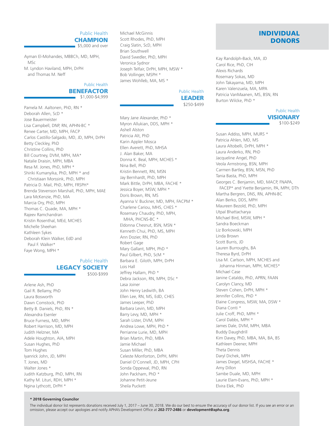#### Public Health

**CHAMPION**  $$5,000$  and over

Ayman El-Mohandes, MBBCh, MD, MPH, MSc

M. Lyndon Haviland, MPH, DrPH and Thomas M. Neff

#### Public Health BENEFACTOR

\$1,000-\$4,999

Pamela M. Aaltonen, PhD, RN \* Deborah Allen, ScD \* Jose Bauermeister Lisa Campbell, DNP, RN, APHN-BC \* Renee Carter, MD, MPH, FACP Carlos Castillo-Salgado, MD, JD, MPH, DrPH Betty Cleckley, PhD Christine Collins, PhD Bill Courtney, DVM, MPH, MA\* Natalie Draisin, MPH, MBA Resa M. Jones, PhD, MPH \* Shiriki Kumanyika, PhD, MPH \* and Christiaan Morssink, PhD, MPH Patricia D. Mail, PhD, MPH, FRSPH\* Brenda Stevenson Marshall, PhD, MPH, MAE Lara McKenzie, PhD, MA Marcia Ory, PhD, MPH Thomas C. Quade, MA, MPH \* Rajeev Ramchandran Kristin Rosenthal, MEd, MCHES Michelle Sheehan Kathleen Sykes Deborah Klein Walker, EdD and Paul F. Walker\* Faye Wong, MPH \*

#### Public Health LEGACY SOCIETY \$500-\$999

Arlene Ash, PhD Gail R. Bellamy, PhD Laura Bosworth Dawn Comstock, PhD Betty B. Daniels, PhD, RN \* Alexandra Esenler Bruce Furness, MD, MPH Robert Harrison, MD, MPH Judith Helzner, MA Adele Houghton, AIA, MPH Susan Hughes, PhD Tom Hughes Iyanrick John, JD, MPH T. Jones, MD Walter Jones \* Judith Katzburg, PhD, MPH, RN Kathy M. Lituri, RDH, MPH \* Ngina Lythcott, DrPH \*

Michael McGinnis Scott Rhodes, PhD, MPH Craig Slatin, ScD, MPH Brian Southwell David Swedler, PhD, MPH Veronica Sydnor Joseph Telfair, DrPH, MPH, MSW \* Bob Vollinger, MSPH \* James Wohlleb, MA, MS \*

#### Public Health LEADER \$250-\$499

Mary Jane Alexander, PhD \* Myron Allukian, DDS, MPH \* Ashell Alston Patricia Alt, PhD Karin Appler Mosca Ellen Averett, PhD, MHSA J. Alan Baker, MA Donna K. Beal, MPH, MCHES \* Nina Bell, PhD Kristin Bennett, RN, MSN Jay Bernhardt, PhD, MPH Mark Bittle, DrPH, MBA, FACHE \* Jessica Boyer, MSW, MPH \* Doris Brown, RN, MS Ayanna V. Buckner, MD, MPH, FACPM \* Charlene Cariou, MHS, CHES \* Rosemary Chaudry, PhD, MPH, MHA, PHCNS-BC \* Eldonna Chesnut, BSN, MSN \* Kenneth Chui, PhD, MS, MPH Ann Dozier, RN, PhD Robert Gage Mary Gallant, MPH, PhD \* Paul Gilbert, PhD, ScM \* Barbara E. Giloth, MPH, DrPH Lois Hall Jeffrey Hallam, PhD \* Debra Jackson, RN, MPH, DSc \* Lasa Joiner John Henry Ledwith, BA Ellen Lee, RN, MS, EdD, CHES James Leeper, PhD Barbara Levin, MD, MPH Barry Levy, MD, MPH \* Sarah Lister, DVM, MPH Andrea Lowe, MPH, PhD \* Perrianne Lurie, MD, MPH Brian Martin, PhD, MBA Jamie Michael Susan Miller, PhD, MBA Celeste Monforton, DrPH, MPH Daniel O'Connell, JD, MPH, CPH Sonda Oppewal, PhD, RN John Packham, PhD \* Johanne Petit-Jeune Sheila Puckett

#### INDIVIDUAL **DONORS**

Kay Randolph-Back, MA, JD Carol Rice, PhD, CIH Alexis Richards Rosemary Sokas, MD John Takayama, MD, MPH Karen Valenzuela, MA, MPA Patricia VanMaanen, MS, BSN, RN Burton Wilcke, PhD \*

#### Public Health **VISIONARY** \$100-\$249

Susan Addiss, MPH, MURS \* Patricia Ahlen, MD, MS Laura Altobelli, DrPH, MPH \* Laura Anderko, RN, PhD Jacqueline Angel, PhD Veola Armstrong, BSN, MPH Carmen Bartley, BSN, MSN, PhD Tania Basta, PhD, MPH Georges C. Benjamin, MD, MACP, FNAPA, FACEP\* and Yvette Benjamin, PA, MPH, DTh Martha Bergren, DNS, RN, APHN-BC Alan Berko, DDS, MPH Maureen Bezold, PhD, MPH Utpal Bhattacharya Michael Bird, MSW, MPH \* Sandra Boeckman Liz Borkowski, MPH Linda Brown Scott Burris, JD Lauren Burroughs, BA Theresa Byrd, DrPH Lisa M. Carlson, MPH, MCHES and Johanna Hinman, MPH, MCHES\* Michael Case Janine Cataldo, PhD, APRN, FAAN Carolyn Clancy, MD Steven Cohen, DrPH, MPH \* Jennifer Collins, PhD \* Elaine Congress, MSW, MA, DSW \* Diana Conti \* Julie Croff, PhD, MPH \* Carol Dabbs, MPH \* James Dale, DVM, MPH, MBA Buddy Daughdrill Kim Davey, PhD, MBA, MA, BA, BS Kathleen Deener, MPH Theta Dennis Daryl Dichek, MPH James Diegel, MSHSA, FACHE \* Amy Dillon Sambe Duale, MD, MPH Laurie Elam-Evans, PhD, MPH \* Elvira Elek, PhD

#### **\* 2018 Governing Councilor**

12 | American Public Health Association omission, please accept our apologies and notify APHA's Development Offce at **202-777-2486** or **[development@apha.org](mailto:development@apha.org)**. The individual donor list represents donations received July 1, 2017 – June 30, 2018. We do our best to ensure the accuracy of our donor list. If you see an error or an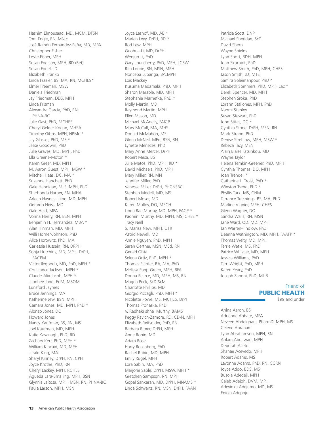Hashim Elmousaad, MD, MCM, DFSN Tom Engle, RN, MN \* José Ramón Fernández-Peña, MD, MPA Christopher Fisher Leslie Fisher, MPH Susan Foerster, MPH, RD (Ret) Susan Fogel, JD Elizabeth Franko Linda Frazier, BS, MA, RN, MCHES\* Elmer Freeman, MSW Daniela Friedman Jay Friedman, DDS, MPH Linda Frisman Alexandra Garcia, PhD, RN, PHNA-BC Julie Gast, PhD, MCHES Cheryl Gelder-Kogan, MHSA Timothy Gibbs, MPH, NPMc \* Jay Glasser, PhD, MS \* Jesse Goodwin, PhD Julie Graves, MD, MPH, PhD Ella Greene-Moton \* Karen Greer, MD, MPH M. Aaron Guest, MPH, MSW \* Mitchell Haas, DC, MA \* Suzanne Hanchett, PhD Gale Hannigan, MLS, MPH, PhD Sherhonda Harper, RN, MHA Arleen Haynes-Laing, MD, MPH Gerardo Heiss, MD Gale Held, MPA Vonna Henry, RN, BSN, MPH Benjamin H. Hernandez, MBA \* Alan Hinman, MD, MPH Willi Horner-Johnson, PhD Alice Horowitz, PhD, MA Carlessia Hussein, RN, DRPH Sonja Hutchins, MD, MPH, DrPH, FACPM Victor Ilegbodu, MD, PhD, MPH \* Constance Jackson, MPH \* Claude-Alix Jacob, MPH \* Jeonhee Jang, EdM, MSOM Lunsford Jaymes Bruce Jennings, MA Katherine Jew, BSN, MPH Camara Jones, MD, MPH, PhD \* Alonzo Jones, DO Howard Jones Nancy Kaufman, BS, RN, MS Joel Kaufman, MD, MPH Katie Kavanagh, PhD, RD Zachary Kerr, PhD, MPH \* William Kincaid, MD, MPH Jerald King, MA Sharyl Kinney, DrPH, RN, CPH Joyce Krothe, PhD, RN Cheryl Lackey, MPH, RCHES Agueda Lara-Smalling, MPH, BSN Glynnis LaRosa, MPH, MSN, RN, PHNA-BC Paula Larson, MPH, MSN

Joyce Lashof, MD, AB \* Marian Levy, DrPH, RD \* Rod Lew, MPH Guohua Li, MD, DrPH Wenjun Li, PhD Gary Lounsberry, PhD, MPH, LCSW Rita Lourie, RN, MSN, MPH Nonceba Lubanga, BA,MPH Lois Mackey Kusuma Madamala, PhD, MPH Sharon Marable, MD, MPH Stephanie Marhefka, PhD \* Molly Martin, MD Raymond Martin, MPH Ellen Mason, MD Michael McAnelly, FAICP Mary McCall, MA, MHS Donald McMahon, MS Gloria McNeil, MEd, BSN, RN Lynette Menezes, PhD Mary Anne Mercer, DrPH Robert Mesa, BS Julie Metos, PhD, MPH, RD \* David Michaels, PhD, MPH Mary Miller, RN, MN Jennifer Miller, PhD Vanessa Miller, DrPH, PHCNSBC Stephen Modell, MD, MS Robert Moser, MD Karen Mulloy, DO, MSCH Linda Rae Murray, MD, MPH, FACP \* Padmini Murthy, MD, MPH, MS, CHES \* Tracy Neill S. Marisa New, MPH, OTR Astrid Newell, MD Annie Nguyen, PhD, MPH Sarah Oerther, MSN, MEd, RN Gerald Ohta Selena Ortiz, PhD, MPH \* Thomas Painter, BA, MA, PhD Melissa Papp-Green, MPH, BFA Donna Pearce, MD, MPH, MS, RN Magda Peck, ScD ScM Charlotte Phillips, MD Giorgio Piccagli, PhD, MPH \* Nicolette Powe, MS, MCHES, DrPH Thomas Prohaska, PhD V. Radhakrishna Murthy, BAMS Peggy Ravich-Zamore, RD, CD-N, MPH Elizabeth Reifsnider, PhD, RN Barbara Rimer, DrPH, MPH Anne Robin, MD Adam Rose Harry Rosenberg, PhD Rachel Rubin, MD, MPH Emily Rugel, MPH Lora Sabin, MA, PhD Marjorie Sable, DrPH, MSW, MPH \* Gretchen Sampson, RN, MPH Gopal Sankaran, MD, DrPH, MNAMS \* Linda Schwartz, RN, MSN, DrPH, FAAN

Patricia Scott, DNP Michael Sheridan, ScD David Shern Wayne Shields Lynn Short, RDH, MPH Joan Skurnick, PhD Matthew Smith, PhD, MPH, CHES Jason Smith, JD, MTS Samira Soleimanpour, PhD \* Elizabeth Sommers, PhD, MPH, Lac \* Derek Spencer, MD, MPH Stephen Sroka, PhD Lorann Stallones, MPH, PhD Naomi Stanley Susan Stewart, PhD John Stites, DC \* Cynthia Stone, DrPH, MSN, RN Mark Strand, PhD Denise Strehlow, MPH, MSW \* Rebeca Tacy, MSN Alain Blaise Tatsinkou, MD Wayne Taylor Helena Temkin-Greener, PhD, MPH Cynthia Thomas, DO, MPH Joan Trendell \* Catherine L. Troisi, PhD \* Winston Tseng, PhD \* Phyllis Turk, MS, CNM Terrance Tutchings, BS, MA, PhD Marline Vignier, MPH, CHES Glenn Wagner, DO Sandra Walls, RN, MSN Jane Ward, OD, MD, MPH Jan Warren-Findlow, PhD Deanna Wathington, MD, MPH, FAAFP \* Thomas Welty, MD, MPH Terrie Wetle, MS, PhD Patrice Whistler, MD, MPH Jessica Williams, PhD Terri Wright, PhD, MPH Karen Yeary, PhD Joseph Zanoni, PhD, MILR

#### Friend of PUBLIC HEALTH

\$99 and under

Anina Aaron, BS Adrienne Abbate, MPA Neveen Abdelghani, PharmD, MPH, MS Celene Abraham Lynn Abrahamson, MPH, RN Ahlam Abuawad, MPH Deborah Aceto Shanae Acevedo, MPH Robert Adams, MS Lavonne Adams, PhD, RN, CCRN Joyce Addo, BDS, MS Busola Adedeji, MPH Caleb Adejoh, DVM, MPH Adeyinka Adejumo, MD, MS Eniola Adepoju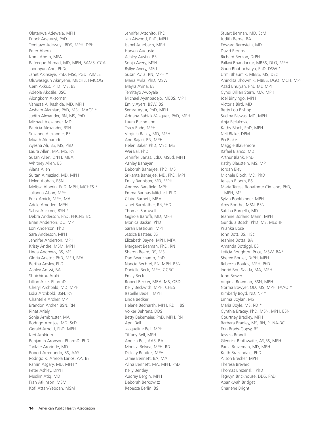Olatanwa Adewale, MPH Enock Adewuyi, PhD Temitayo Adewuyi, BDS, MPH, DPH Peter Ahern Komi Aheto, MPA Rafeeque Ahmad, MD, MPH, BAMS, CCA Joonhyun Ahn, PhDc Janet Akinseye, PhD, MSc, PGD, AIMLS Oluwasegun Akinyemi, MBcHB, FMCOG Cem Akkus, PHD, MS, BS Adeola Akosile, BSC Alongkorn Aksornsri Vanessa Al Rashida, MD, MPH Arsham Alamian, PhD, MSc, MACE \* Judith Alexander, RN, MS, PhD Michael Alexander, MD Patricia Alexander, BSN Suzanne Alexander, BS Muath Alghamdi Ayesha Ali, BS, MS, PhD Laura Allen, MA, MS, RN Susan Allen, DrPH, MBA Whitney Allen, BS Alana Allen Sultan Almaziad, MD, MPH Helen Alohan, BSN Melissa Alperin, EdD, MPH, MCHES \* Julianna Alson, MPH Erick Amick, MPH, MA Adele Amodeo, MPH Sabra Anckner, BSN \* Debra Anderson, PhD, PHCNS BC Brian Anderson, DC, MPH Lori Anderson, PhD Sara Anderson, MPH Jennifer Anderson, MPH Kristy Andre, MSM, MPH Linda Andrews, BS, MS Gloria Anetor, PhD, MEd, BEd Bertha Ansley, PhD Ashley Antwi, BA Shuichirou Araki Lillian Arce, PharmD Cheryl Archbald, MD, MPH Lidia Archbold, BSN, RN Chantelle Archer, MPH Brandon Archer, BSN, RN Rinat Ariely Sonja Armbruster, MA Rodrigo Armijos, MD, ScD Gerald Arnold, PhD, MPH Keri Arokium Benjamin Aronson, PharmD, PhD Tarilate Aroriode, MD Robert Arredondo, BS, AAS Rodrigo K. Arreola Larios, AA, BS Ramin Asgary, MD, MPH \* Peter Ashley, DrPH Muslim Atiq, MD Fran Atkinson, MSM Kofi Attah-Yeboah, MSM

Jennifer Attonito, PhD Jan Atwood, PhD, MPH Isabel Auerbach, MPH Harven Auguste Ashley Austin, BS Sonja Avery, MSN Byllye Avery, MEd Susan Avila, RN, MPH \* Maria Avila, PhD, MSW Mayra Avina, BS Temitayo Awoyale Michael Ayanbadejo, MBBS, MPH Emily Ayers, BSW, BS Semra Aytur, PhD, MPH Adriana Babiak-Vazquez, PhD, MPH Laura Bachmann Tracy Bade, MPH Virginia Bailey, MD, MPH Ann Bajari, RN, MPH Helen Baker, PhD, MSc, MS Wei Bal, PhD Jennifer Banas, EdD, MSEd, MPH Ashley Banayan Deborah Banerjee, PhD, MS Srikanta Banerjee, MD, PhD, MPH Emily Bannister, MD, MPH Andrew Barefield, MPH Emma Barinas-Mitchell, PhD Claire Barnett, MBA Janet Barnfather, RN,PHD Thomas Barnwell Gigliola Baruff, MD, MPH Monica Baskin, PhD Sarah Bassiouni, MPH Jessica Bastear, BS Elizabeth Bayne, MPH, MFA Margaret Beaman, PhD, RN Sharon Beard, BS, MS Dan Beauchamp, PhD Nancie Bechtel, RN, MPH, BSN Danielle Beck, MPH, CCRC Emily Beck Robert Becker, MBA, MS, ORD Kelly Beckwith, MPH, CHES Isabelle Bedell, MPH Linda Bedker Helene Bednarsh, MPH, RDH, BS Volker Behrens, DDS Betty Bekemeier, PhD, MPH, RN April Bell Jacqueline Bell, MPH Tiffany Bell, MPH Angela Bell, AAS, BA Monica Belyea, MPH, RD Disleiry Benitez, MPH Jamie Bennett, BA, MA Alina Bennett, MA, MPH, PhD Kelly Bentley Audrey Bergin, MPH Deborah Berkowitz Rebecca Berlin, BS

Stuart Berman, MD, ScM Judith Berne, BA Edward Bernstein, MD David Berrios Richard Berzon, DrPH Pallavi Bhandarkar, MBBS, DLO, MPH Gauri Bhattacharya, PhD, DSW \* Urmi Bhaumik, MBBS, MS, DSc Anindita Bhowmik, MBBS, DGO, MCH, MPH Azad Bhuiyan, PhD MD MPH Cyndi Billian Stern, MA, MPH Joel Binyingo, MPH Victoria Bird, MD Betty Lou Bishop Sudipa Biswas, MD, MPH Anja Bjelakovic Kathy Black, PhD, MPH Nell Blake, DPM Pia Blake Maggie Blakemore Rafael Blanco, MD Arthur Blank, PhD Kathy Blaustein, MS, MPH Jordan Bley Michele Bloch, MD, PhD Jensen Bloom, BS Maria Teresa Bonafonte Cimiano, PhD, MPH, MS Sylvia Bookbinder, MPH Amy Boothe, MSN, BSN Satcha Borgella, MD Jeanine Borland Mann, MPH Gundula Bosch, PhD, MS, MEdHP Prianka Bose John Bott, BS, HSc Jeanine Botta, BA Amanda Bottiggi, BS Leticia Boughton Price, MSW, BA\* Sheree Boulet, DrPH, MPH Rebecca Boulos, MPH, PhD Ingrid Bou-Saada, MA, MPH John Bower Virginia Bowman, BSN, MPH Norma Bowyer, OD, MS, MPH, FAAO \* Kimberly Boyd, ND, NP \* Emma Boylan, MS Maria Boyle, MS, RD \* Cynthia Bracey, PhD, MSN, MPH, BSN Courtney Bradley, MPH Barbara Bradley, MS, RN, PHNA-BC Erin Brady-Copsy, BS Jessica Brandt Glenrick Brathwaite, AS,BS, MPH Paula Braveman, MD, MPH Keith Brazendale, PhD Alison Brecher, MPH Theresa Brevard Thomas Brezenski, PhD Tegwyn Brickhouse, DDS, PhD Abankwah Bridget Charlene Bright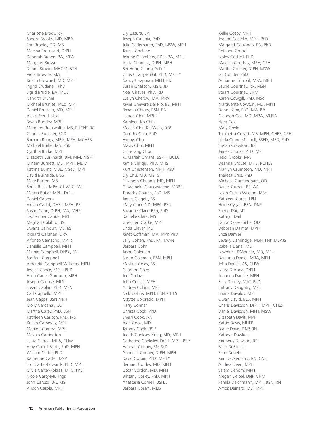Charlotte Brody, RN Sandra Brooks, MD, MBA Erin Brooks, OD, MS Marsha Broussard, DrPH Deborah Brown, BA, MPA Margaret Brown Tammi Brown, MHCM, BSN Viola Browne, MA Kristin Brownell, MD, MPH Ingrid Brudenell, PhD Sigrid Brudie, BA, MLIS Candith Bruner Michael Brunjes, MEd, MPH Daniel Brustein, MD, MSIH Alexis Brzuchalski Bryan Buckley, MPH Margaret Buckwalter, MS, PHCNS-BC Charles Buncher, SCD Barbara Bungy, MBA, MPH, MCHES Michael Burke, MS, PhD Cynthia Burke, MPH Elizabeth Burkhardt, BM, MM, MSPH Miriam Burnett, MD, MPH, MDiv Katrina Burns, MBE, MSeD, MPH David Burnside, BGS Mary Burton, MS Sonja Bush, MPA, CHW, CHWI Marcia Butler, MPH, DrPH Daniel Cabrera Akilah Cadet, DHSc, MPH, BS Susan Cahn, DrPH, MA, MHS September Cahue, MPH Meghan Calabro, BS Dwana Calhoun, MS, BS Richard Callahan, DPA Alfonso Camacho, MPHc Danielle Campbell, MPH Minnie Campbell, DNSc, RN Steffani Campbell Ardandia Campbell-Williams, MPH Jessica Cance, MPH, PHD Hilda Canes-Garduno, MPH Joseph Canose, MLS Susan Caplan, PhD, MSN Carl Cappello, MPH Jean Capps, BSN MPH Molly Cardenal, OD Martha Carey, PhD, BSN Kathleen Carlson, PhD, MS Kristin Carraway, MPH Marilou Carrera, MPH Makala Carrington Leslie Carroll, MHS, CHW Amy Carroll-Scott, PhD, MPH William Carter, PhD Katherine Carter, DNP Lori Carter-Edwards, PhD, MPH Olivia Carter-Pokras, MHS, PhD Nicole Carty-Mullings John Caruso, BA, MS Allison Casola, MPH

Lily Casura, BA Joseph Catania, PhD Julie Cederbaum, PhD, MSW, MPH Teresa Chahine Jeanne Chambers, RDH, BA, MPH Anita Chandra, DrPH, MPH Bei-Hung Chang, ScD \* Chris Chanyasulkit, PhD, MPH \* Nancy Chapman, MPH, RD Susan Chasson, MSN, JD Noel Chavez, PhD, RD Evelyn Cherow, MA, MPA Javier Chevere Del Rio, BS, MPH Roxana Chicas, BSN, RN Lauren Chin, MPH Kathleen Ko Chin Meelin Chin Kit-Wells, DDS Dorothy Chiu, PhD Hyunyi Cho Mavis Choi, MPH Chiu-Fang Chou K. Mariah Chrans, BSPH, IBCLC Jamie Chriqui, PhD, MHS Kurt Christensen, MPH, PhD Lily Chu, MD, MSHS Elizabeth Chuang, MD, MPH Olisaemeka Chukwudebe, MBBS Timothy Church, PhD, MS James Clagett, BS Mary Clark, ND, MPA, BSN Suzanne Clark, RPh, PhD Dainelle Clark, MS Gretchen Clarke, MPH Linda Clever, MD Janet Coffman, MA, MPP, PhD Sally Cohen, PhD, RN, FAAN Barbara Cohn Jason Coleman Susan Coleman, BSN, MPH Maxline Coles, BS Charlton Coles Joel Collazo John Collins, MPH Andrea Collins, MPH Nick Collins, MPH, BSN, CHES Maytte Colorado, MPH Harry Conner Christa Cook, PhD Sherri Cook, AA Alan Cook, MD Tammy Cook, BS \* Judith Cooksey Krieg, MD, MPH Catherine Cooksley, DrPH, MPH, BS \* Hannah Cooper, SM ScD Gabrielle Cooper, DrPH, MPH David Corbin, PhD, Med \* Bernard Cordes, MD, MPH Oscar Cordon, MD, MPH Brittany Corley, PhD, MPH Anastasia Cornell, BSHA Barbara Cosart, MLIS

Kellie Cosby, MPH Joanne Costello, MPH, PhD Margaret Cotroneo, RN, PhD Bethann Cottrell Lesley Cottrell, PhD Makella Coudray, MPH, CPH Martha Coulter, DrPH, MSW Ian Coulter, PhD Adrianne Council, MPA, MPH Laurie Courtney, RN, MSN Stuart Courtney, DPM Karen Cowgill, PhD, MSc Marguerite Cowtun, MD, MPH Donna Cox, PhD, MA, BA Glendon Cox, MD, MBA, MHSA Nora Cox Mary Coyle Thometta Cozart, MS, MPH, CHES, CPH Linda Crane Mitchell, BSED, MED, PhD Stefan Crawford, BS James Crooks, PhD, MS Heidi Crooks, MA Deanna Crouse, MHS, RCHES Marilyn Crumpton, MD, MPH Theresa Cruz, PhD Michelle Cunningham, OD Daniel Curran, BS, AA Leigh Curtin-Wilding, MSc Kathleen Curtis, LPN Heide Cygan, BSN, DNP Zheng Dai, MS Kathryn Dail Laura Dake-Roche, OD Deborah Dalmat, MPH Erica Damler Beverly Dandridge, MSN, FNP, MSAJS Isabella Danel, MD Lawrence D'Angelo, MD, MPH Danjuma Daniel, MBA, MPH John Daniel, AS, CHW Laura D'Anna, DrPH Amanda Darche, MPH Sally Darney, MAT, PhD Brittany Daughtry, MPH Liliana Davalos, MPH Owen David, BES, MPH Charis Davidson, DrPH, MPH, CHES Daniel Davidson, MPH, MSW Elizabeth Davis, MPH Kattie Davis, MHEP Diane Davis, DNP, RN Kathryn Dawkins Kimberly Dawson, BS Faith DeBonilla Sena Debele Kim Decker, PhD, RN, CNS Andrea Deen, MPH Salem Dehom, MPH Megan Deibel, DNP, CNM Pamila Deichmann, MPH, BSN, RN Amos Deinard, MD, MPH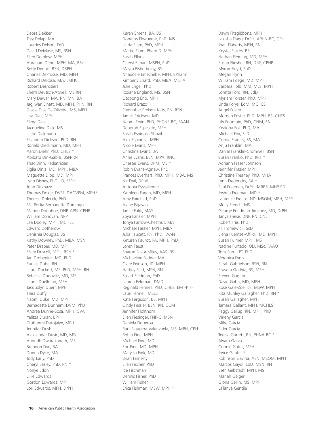Debra Dekker Trey Delap, MA Lourdes Delson, EdD David DeMase, MS, BSN Ellen Demlow, MPH Abraham Deng, MPH, MA, BSc Betty Dennis, BSN, DRPH Charles DeProsse, MD, MPH Richard DeRosa, MA, LMHC Robert Desrosiers Sherri Deutsch-Atwell, MS RN Mary Dewar, MA, RN, MN, BA Jagjiwan Dhatt, MD, MPH, PHN, RN Gisele Dias De Oliveira, MS, MPH Lisa Diaz, MPH Elena Diaz Jacqueline Dick, MS Leslie Dickmann Elizabeth Dickson, PhD, RN Ronald Dieckmann, MD, MPH Aaron Diehr, PhD, CHES \* Abibatu Din-Gabisi, BSN-RN Thac Dinh, Pediatrician Siglia Diniz, MD, MPH, MBA Maguette Diop, MD, MPH Lynn Disney, PhD, JD, MPH John Ditzhazy Thomas Doker, DVM, DACVPM, MPH\* Therese Dolecek, PhD Ma Portia Bernadette Domingo Marion Donohoe, DNP, APN, CPNP William Donovan, NRP Lea Dooley, MPH, MCHES Edward Dotherow Denishia Douglas, BS Kathy Downey, PhD, MBA, MSN Peter Draper, MD, MPH Mary Driscoll, MPH, BSN \* Jan Drobeniuc, MD, PhD Eunice Dube, RN Laura Duckett, MS, PhD, MPH, RN Rebecca Dudovitz, MD, MS Laural Duellman, MPH Jacquolyn Duerr, MPH Tiara Duffy Naomi Duke, MD, MPH Bernadette Dunham, DVM, PhD Andrea Dunne-Sosa, MPH, CVA Yelitza Duran, BPH Olubunmi Durojaiye, MPH Jennifer Dush Aleksandar Dusic, MD, MSc Anirudh Dwarakanath, MS Brandon Dye, BA Donna Dyke, MA Jody Early, PhD Cheryl Easley, PhD, RN \* Nonye Edoh Lillie Edwards Gordon Edwards, MPH Lori Edwards, MPH, DrPH

Karen Ehrens, BA, BS Donatus Ekwueme, PhD, MS Linda Elam, PhD, MPH Mattie Elam, PharmD, MPH Sarah Elkins Cheryl Elman, MSPH, PhD Mayra Elsherbeiny, BS Nnadozie Emechebe, MPH, BPharm Kimberly Enard, PhD, MBA, MSHA Julie Engel, PhD Roxane England, MS, BSN Otobong Eno, MPH Richard Erazo Ewonubar Erekere Kats, RN, BSN James Erickson, MD Naomi Ervin, PhD, PHCNS-BC, FAAN Deborah Espesete, MPH Sarah Espinosa-Shoaib Alex Espinoza, MPH Nicole Evans, MPH Christina Evans, BA Anne Evans, BSN, MPA, RNC Chester Evans, DPM, MS \* Robin Evans-Agnew, PhD Frances Everhart, PhD, MPH, MBA, MS Nir Eyal, DPhil Antonia Eyssallenne Kathleen Fagan, MD, MPH Amy Fairchild, PhD Alane Fajayan Jamie Falik, MAS Zoya Fansler, MPH Tonya Farrow-Chestnut, MA Michael Fassler, MPH, MBA Julia Faucett, RN, PhD, FAAN Keturah Faurot, PA, MPH, PhD Loren Faust Sharon Favor-Miles, AAS, BS Michaeline Fedder, MA Clare Feinson, JD, MPH Hartley Feld, MSN, RN Stuart Feldman, PhD Lauren Feldman, DMD Reginald Fennell, PhD, CHES, EMT-P, FF Lauri Fennell, MSLS Kate Ferguson, BS, MPH Cindy Fessier, BSN, RN, CCM Jennifer Fichthorn Ellen Fiesinger, FNP-C, MSN Daniela Figueroa Raul Figueroa-Valenzuela, MS, MPH, CPH Robin Fine, MPH Michael Fine, MD Eric Fine, MD, MPH Mary Jo Fink, MD Brian Finnerty Ellen Fischer, PhD Rie Fischman Dennis Fisher, PhD William Fisher Erica Fishman, MSW, MPH \*

Dawn Fitzgibbons, MPH Lakisha Flagg, DrPH, APHN-BC, CPH Joan Flaherty, MSN, RN Krystal Flakes, BS Nathan Fleming, MD, MPH Susan Fliesher, RN, DNP, CPNP Myron Floyd, PhD Megan Flynn William Foege, MD, MPH Barbara Folb, MM, MLS, MPH Loretta Ford, RN, EdD Myriam Forster, PhD, MPH Linda Forys, EdM, MCHES Angel Foster Morgan Foster, PhD, MPH, BS, CHES Lily Fountain, PhD, CNM, RN Kealoha Fox, PhD, MA Michael Fox, ScD Cordia Francis, BS, MA Anju Franklin, MA Danial Franklin-Cromwell, BSN Susan Franko, PhD, RRT \* Adriann Fraser Johnson Jennifer Frazier, MPH Christine Freaney, PhD, MHA Lynn Fredericks, BA \* Paul Freeman, DrPH, MBBS, MHP-ED Joshua Freeman, MD \* Laurence Freitas, ND, MSOM, MPH, MPP Molly French, MS George Friedman-Jimenez, MD, DrPH Tanya Friese, DNP, RN, CNL Robert Friis, PhD Jill Fromewick, ScD Elena Fuentes-Affick, MD, MPH Susan Fulmer, MPH, MS Nadine Furtado, OD, MSc, FAAO Toru Furui, PT, PhD Veronica Fynn Sarah Gabrielson, BSN, RN Shweta Gadhia, BS, MPH Steven Gagnon David Gahn, MD, MPH Rose Gale-Zoellick, MSW, MPH Rita Munley Gallagher, PhD, RN \* Susan Gallagher, MPH Tamara Gallant, MPH, MCHES Peggy Gallup, RN, MPH, PhD Virleny Garcia Mike Garcia Elder Garcia Teresa Garrett, RN, PHNA-BC \* Alvaro Garza Connie Gates, MPH Joyce Gaufin \* Robinson Gaviria, ASN, MSOM, MPH Marcos Gayol, EdD, MSN, RN Beth Gebstadt, MPH, MS Mariah Geiger Gloria Gellin, MS, MPH LaTanya Gentile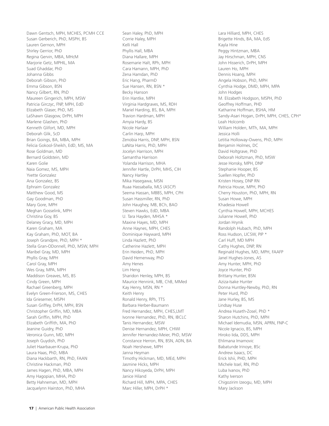Dawn Gentsch, MPH, MCHES, PCMH CCE Susan Gerberich, PhD, MSPH, BS Lauren Gernon, MPH Shirley Gerrior, PhD Regina Gervin, MBA, MHcM Marjorie Getz, MPHIL, MA Suad Ghaddar, PhD Johanna Gibbs Deborah Gibson, PhD Emma Gibson, BSN Nancy Gilbert, RN, PhD Maureen Gingerich, MPH, MSW Patricia Girczyc, FNP, MPH, EdD Elizabeth Glaser, PhD, MS LaShawn Glasgow, DrPH, MPH Marlene Glashen, PhD Kenneth Glifort, MD, MPH Deborah Glik, ScD Brian Goings, BA, MBA, MPH Felicia Gokool-Sheikh, EdD, MS, MA Rose Goldman, MD Bernard Goldstein, MD Karen Golie Naia Gomez, MS, MPH Yvette Gonzalez Ana Gonzalez, BS Ephraim Gonzalez Matthew Good, MS Gay Goodman, PhD Mary Gore, MPH Meghan Gosselink, MPH Christina Goy, BS Delaney Gracy, MD, MPH Karen Graham, MA Kay Graham, PhD, MOT, BA Joseph Grandpre, PhD, MPH \* Stella Gran-ODonnell, PhD, MSW, MPH Maribel Gray, MD, MPH Phyllis Gray, MPH Carol Gray, MPH Wes Gray, MPA, MPH Maddison Greaves, MS, BS Cindy Green, MPH Rachael Greenberg, MPH Evelyn Green-Frierson, MS, CHES Ida Griesemer, MSPH Susan Griffey, DrPH, MPH, BSN Christopher Griffin, MD, MBA Sarah Griffin, MPH, PhD Elizabeth Griffith, MA, PhD Jeanine Guidry, PhD Veronica Gunn, MD, MPH Joseph Guydish, PhD Juliet Haarbauer-Krupa, PhD Laura Haas, PhD, MBA Diana Hackbarth, RN, PhD, FAAN Christine Hackman, PhD James Hagen, PhD, MBA, MPH Amy Hagopian, MHA, PhD Betty Hahneman, MD, MPH Jacquelynn Hairston, PhD, MHA

Sean Haley, PhD, MPH Corrie Haley, MPH Kelli Hall Phyllis Hall, MBA Diana Hallare, MPH Rosemarie Halt, RPh, MPH Cara Hamann, MPH, PhD Zena Hamdan, PhD Eric Hang, PharmD Sue Hansen, RN, BSN \* Becky Hanson Erin Hantke, MPH Virginia Hardgraves, MS, RDH Mariel Harding, BS, BA, MPH Travion Hardman, MPH Amyia Hardy, BS Nicole Harlaar Carlin Harp, MPH Zenobia Harris, DNP, MPH, BSN LaNita Harris, PhD, MPH Jocelyn Harrison, MPH Samantha Harrison Yolanda Harrison, MHA Jennifer Hartle, DrPH, MHS, CIH Nancy Hartley Mika Hasegawa, MSN Ruaa Hassaballa, MLS (ASCP) Seema Hassan, MBBS, MPH, CPH Susan Hassmiller, RN, PhD John Haughey, MB, BCh, BAO Steven Hawks, EdD, MBA U. Tara Hayden, MHSA \* Maxine Hayes, MD, MPH Anne Haynes, MPH, CHES Dominique Hayward, MPH Linda Hazlett, PhD Catherine Hazlett, MPH Erin Heiden, PhD, MPH David Hemenway, PhD Amy Henes Lim Heng Sharidon Henley, MPH, BS Maurice Hennink, MB, ChB, MMed Kay Henry, MSN, RN \* Keith Henry Ronald Henry, RPh, TTS Barbara Herber-Baumann Fred Hernandez, MPH, CHES,LMT Ivonne Hernandez, PhD, RN, IBCLC Tanis Hernandez, MSW Denise Hernandez, MPH, CHWI Jennifer Hernandez-Meier, PhD, MSW Constance Herron, RN, BSN, ADN, BA Noah Hershewe, MPH Janna Heyman Timothy Hickman, MD, MEd, MPH Jasmine Hicks, MPH Nancy Hikoyeda, DrPH, MPH Janice Hiland Richard Hill, MPH, MPA, CHES Marc Hiller, MPH, DrPH \*

Lara Hilliard, MPH, CHES Brigette Hinds, BA, MA, EdS Kayla Hine Peggy Hintzman, MBA Jay Hirschman, MPH, CNS John Hisserich, DrPH, MPH Lauren Ho, MPH Dennis Hoang, MPH Angela Hobson, PhD, MPH Cynthia Hodge, DMD, MPH, MPA John Hodges M. Elizabeth Hodgson, MSPH, PhD Geoffrey Hoffman, PHD Katharine Hoffman, BSHA, HM Sandy-Asari Hogan, DrPH, MPH, CHES, CPH\* Leah Holcomb William Holden, MTh, MA, MPH Jessica Holli Letitia Holloway-Owens, PhD, MPH Benjamin Holmes, DC David Holtgrave, PhD Deborah Holtzman, PhD, MSW Jesse Honsky, MPH, DNP Stephanie Hooper, BS Suellen Hopfer, PhD Kristen Hosey, DNP RN Patricia House, MPH, PhD Cherry Houston, PhD, MPH, RN Susan Howe, MPH Khadesia Howell Cynthia Howell, MPH, MCHES Julianne Howell, PhD Jordan Hrynik Randolph Hubach, PhD, MPH Ross Hudson, LICSW, PIP \* Carl Huff, MD MPH Cathy Hughes, DNP, RN Reginald Hughes, MD, MPH, FAAFP Janel Hughes-Jones, AS Amy Hunter, MPH, PhD Joyce Hunter, PhD Brittany Hunter, BSN Aziza-Isake Hunter Donna Huntley-Newby, PhD, RN Peter Hurd, PhD Jane Hurley, BS, MS Lindsay Huse Andrea Huseth-Zosel, PhD \* Sharon Hutchins, PhD, MPH Michael Idemudia, MSN, APRN, FNP-C Nicole Ignacio, BS, MPH Hiroko Iida, DDS, MPH Ehlimana Imamovic Babatunde Irinoye, BSc Andrew Isaacs, DC Erick Ishii, PHD, MPH Michele Issel, RN, PhD Luba Ivanov, PhD Kathy Iverson Chigozirim Izeogu, MD, MPH Mary Jackson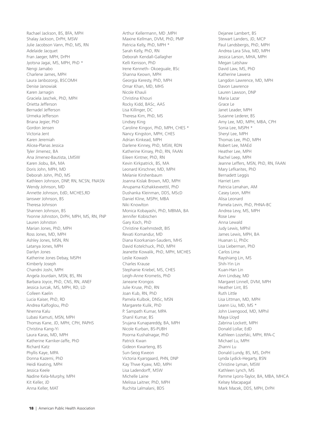Rachael Jackson, BS, BFA, MPH Shalay Jackson, DrPH, MSW Julie Jacobson Vann, PhD, MS, RN Adelaide Jacquet Fran Jaeger, MPH, DrPH Jyotsna Jagai, MS, MPH, PhD \* Nengi Jamabo Charlene James, MPH Laura Janbozorgi, BSCOMH Denise Janowiak Karen Jarnagin Graciela Jaschek, PhD, MPH Orietta Jefferson Bernadel Jefferson Urmeka Jefferson Briana Jegier, PhD Gordon Jensen Victoria Jent Karen Jeremiah Alicea-Planas Jessica Tyler Jimenez, BA Ana Jimenez-Bautista, LMSW Karen Jiobu, BA, MA Doris John, MPH, MD Deborah John, PhD, MS Kathleen Johnson, DNP, RN, NCSN, FNASN Wendy Johnson, MD Annette Johnson, EdD, MCHES,RD Ianswer Johnson, BS Theresa Johnson Shannen Johnson, BS Yvonne Johnston, DrPH, MPH, MS, RN, FNP Lauren Johnston Marian Jones, PhD, MPH Ross Jones, MD, MPH Ashley Jones, MSN, RN Latanya Jones, MPH Darilyn Jones Katherine Jones Debay, MSPH Kimberly Joseph Chandni Joshi, MPH Angela Jourdain, MSN, BS, RN Barbara Joyce, PhD, CNS, RN, ANEF Jessica Jurcak, MS, MPH, RD, LD Colleen Kaelin Lucia Kaiser, PhD, RD Andrea Kalfoglou, PhD Nnenna Kalu Lubasi Kamuti, MSN, MPH Thomas Kane, JD, MPH, CPH, PAPHS Christina Kang-Yi Laura Karas, MD, MPH Katherine Karriker-Jaffe, PhD Richard Katz Phyllis Kaye, MPA Donna Kazemi, PhD Heidi Keating, MPH Jessica Keele Nadine Kela-Murphy, MPH Kit Keller, JD Anna Keller, MAT

Arthur Kellermann, MD ,MPH Maxine Kellman, DVM, PhD, PMP Patricia Kelly, PhD, MPH \* Sarah Kelly, PhD, RN Deborah Kendall-Gallagher Kelli Kenison, PhD Irene Kenneth- Okoeguale, BSc Shanna Keown, MPH Georgia Keresty, PhD, MPH Omar Khan, MD, MHS Nicole Khauli Christina Khouri Rocky Kidd, BASc, AAS Lisa Killinger, DC Theresa Kim, PhD, MS Lindsey King Caroline Kingori, PhD, MPH, CHES \* Nancy Kingston, MPH, CHES Adrian Kinkead, MPH Darlene Kinney, PhD, MSW, RDN Katherine Kinsey, PhD, RN, FAAN Eileen Kintner, PhD, RN Kevin Kirkpatrick, BS, MA Leonard Kirschner, MD, MPH Melanie Kirshenbaum Joanna Kislak Brown, MD, MPH Anupama Kizhakkeveettil, PhD Dushanka Kleinman, DDS, MScD Daniel Kline, MSPH, MBA Niki Knowlton Monica Kobayashi, PhD, MBMA, BA Jennifer Kobischen Gary Koch, PhD Christine Koehmstedt, BIS Revati Komandur, MD Diana Koorkanian-Sauders, MHS David Kotelchuck, PhD, MPH Jeanette Kowalik, PhD, MPH, MCHES Leslie Kowash Charles Krause Stephanie Kriebel, MS, CHES Leigh-Anne Krometis, PhD Janeane Krongos Julie Kruse, PhD, RN Joan Kub, RN, PhD Pamela Kulbok, DNSc, MSN Margarete Kulik, PhD P. Sampath Kumar, MPA Shanil Kumar, BS Srujana Kunapareddy, BA, MPH Nicole Kurban, BS-PUBH Poorna Kushalnagar, PhD Patrick Kwan Gideon Kwarteng, BS Sun-Seog Kweon Victoria Kyarsgaard, PHN, DNP Kay Thwe Kyaw, MD, MPH Lisa Ladendorff, MSW Michelle Laine Melissa Laitner, PhD, MPH Ruchita Lalmalani, BDS

Dejanee Lambert, BS Stewart Landers, JD, MCP Paul Landsbergis, PhD, MPH Andrea Lara Silva, MD, MPH Jessica Larson, MHA, MPH Megan Latshaw David Law, MS, PhD Katherine Lawera Langdon Lawrence, MD, MPH Davon Lawrence Lauren Lawson, DNP Maria Lazar Grace Le Janet Leader, MPH Susanne Lederer, BS Amy Lee, MD, MPH, MBA, CPH Sonia Lee, MSPH \* Sheryl Lee, MPH Thomas Lee, PhD, MPH Robert Lee, MAEd Heather Lee, MPH Rachel Leep, MPH Jeanne Leffers, MSN, PhD, RN, FAAN Mary Lefkarites, PhD Bernadett Leggis Harriet Lem Patricia Lenahan, AM Casey Leon, MPH Alisa Leonard Pamela Levin, PhD, PHNA-BC Andrea Levy, MS, MPH Rose Lew Anna Lewald Judy Lewis, MPhil James Lewis, MPH, BA Huanan Li, PhDc Lisa Lieberman, PhD Carlos Lima Rayshiang Lin, MS Shih-Yin Lin Kuan-Han Lin Ann Lindsay, MD Margaret Linnell, DVM, MPH Heather Lint, BS Ruth Little Lisa Littman, MD, MPH Leann Liu, MD, MS \* John Livengood, MD, MPhil Maya Lloyd Zabrina Lockett, MPH Donald Lollar, EdD Kathleen Lozefski, MPH, RPA-C Michael Lu, MPH Zhanni Lu Donald Lundy, BS, MS, DrPH Lynda Lydick-Hegarty, BSN Christine Lyman, MSW Kathleen Lynch, MS Pamme Lyons-Taylor, BA, MBA, MHCA Kelsey Macapagal Mark Macek, DDS, MPH, DrPH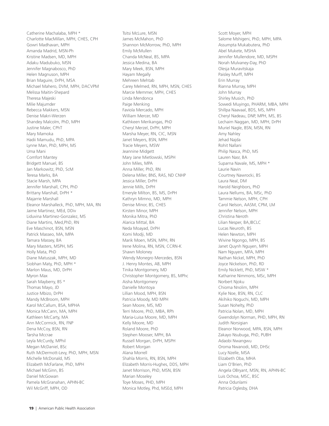Catherine Machalaba, MPH \* Charlotte MacMillan, MPH, CHES, CPH Gowri Madhavan, MPH Amanda Madrid, MSN-Ph Kristine Madsen, MD, MPH Adaku Madubuko, MSN Jennifer Magnabosco, PhD Helen Magnuson, MPH Brian Maguire, DrPH, MSA Michael Mahero, DVM, MPH, DACVPM Melissa Maitin-Shepard Theresa Majeski Milie Majumder Rebecca Makkers, MSN Denise Makri-Werzen Shandey Malcolm, PhD, MPH Justine Maler, CPhT Mary Mamoka Hadii Mamudu, PhD, MPA Lynne Man, PhD, MPH, MS Uma Mani Comfort Mantey Bridgett Manuel, BS Jan Markowitz, PhD, ScM Teresa Marks, BA Stacie Marsh, MPA Jennifer Marshall, CPH, PhD Brittany Marshall, DrPH \* Majarrie Marshall Eleanor Marshalleck, PhD, MPH, MA, RN Jaime Martinez, MEd, DDiv Liduvina Martinez-Gonzalez, MS Diane Martins, Med,PhD, RN Eve Maschinot, BSN, MSN Patrick Masseo, MA, MPA Tamara Massey, BA Mary Masters, MSPH, MS Holly Mata, PhD Diane Matuszak, MPH, MD Siobhan Maty, PhD, MPH \* Marlon Maus, MD, DrPH Myron Max Sarah Mayberry, BS \* Thomas Mayo, JD Justice Mbizo, DrPH Mandy McBroom, MPH Karol McCallum, BSA, MPHA Monica McCann, MA, MPH Kathleen McCarty, MA Ann McCormick, RN, FNP Dena McCoy, BSN, RN Tarsha Mccrae Leyla McCurdy, MPhil Megan McDaniel, BSc Ruth McDermott-Levy, PhD, MPH, MSN Michelle McDonald, MS Elizabeth McFarlane, PhD, MPH Michael McGinn, BS Daniel McGowan Pamela McGranahan, APHN-BC Wil McGriff, MPH, OD

Tsitsi McLure, MSN James McMahon, PhD Shannon McMorrow, PhD, MPH Emily McMullen Chanda McNeal, BS, MPA Jessica Medina, BA Mary Meek, BSN, MPH Hayam Megally Mehreen Mehtab Carey Melmed, RN, MPH, MSN, CHES Marcie Memmer, MPH, CHES Linda Mendonca Paige Menking Faviola Mercado, MPH William Mercer, MD Kathkeen Merikangas, PhD Cheryl Merzel, DrPH, MPH Marsha Meyer, RN, CIC, MSN Janet Meyers, BSN, MPH Tracie Meyers, MSW Jeannine Midgett Mary Jane Mietlowski, MSPH John Miles, MPA Anna Miller, PhD, RN Delena Miller, BNS, RAS, ND CNHP Jessica Miller, DrPH Jennie Mills, DrPH Emeryle Milton, BS, MS, DrPH Kathryn Mimno, MD, MPH Denise Minor, BS, CHES Kirsten Minor, MPH Monika Mitra, PhD Alarica Mittal, BA Neda Moayad, DrPH Komi Modji, MD Marik Moen, MSN, MPH, RN Irene Molina, RN, MSN, CCRN-K Shawn Moloney Wendy Monegro Mercedes, BSN J. Henry Montes, AB, MPH Tinika Montgomery, MD Christopher Montgomery, BS, MPhc Aisha Montgomery Danielle Montoya Lillian Mood, MPH, BSN Patricia Moody, MD MPH Sean Moore, MS, MD Terri Moore, PhD, MBA, RPh Maria-Luisa Moore, MD, MPH Kelly Moore, MD Roland Moore, PhD Stephen Mooser, MPH, BA Russell Morgan, DrPH, MSPH Robert Morgan Alana Morrell Shahla Morris, RN, BSN, MPH Elizabeth Morris-Hughes, DDS, MPH Janet Morrison, PhD, MSN, BSN Marian Moseley Toye Moses, PHD, MPH Monica Motley, Phd, MSEd, MPH

Scott Moyer, MPH Salome Mshigeni, PhD, MPH, MPA Assumpta Mukabutera, PhD Abel Mukete, MSHA Jennifer Mullendore, MD, MSPH Norah Mulvaney-Day, PhD Olesja Muravitskaja Paisley Murff, MPH Erin Murray Rianna Murray, MPH John Murray Shirley Musich, PhD Sowedi Muyingo, PHARM, MBA, MPH Shillpa Naavaal, BDS, MS, MPH Cheryl Nadeau, DNP, MPH, MS, BS Lechaim Naggan, MD, MPH, DrPH Muriel Nagle, BSN, MSN, RN Amy Nahley Jehad Najda Rohit Nallani Philip Nasca, PhD, MS Lauren Nasr, BA Suparna Navale, MS, MPH \* Laurie Navin Courtney Nawrocki, BS Laura Neal, DM Harold Neighbors, PhD Laura Nellums, BA, MSc, PhD Tammie Nelson, MPH, CPH Carol Nelson, AASM, CPM, LM Jennifer Nelson, MPH Christina Neroth Lilian Nesper, BA,IBCLC Lucas Neuroth, BS Helen Newton, MPH Wivine Ngongo, MPH, BS Janet Quynh Nguyen, MPH Nam Nguyen, MFA, MPH Nathan Nickel, MPH, PhD Joyce Nickelson, PhD, RD Emily Nicklett, PhD, MSW \* Katharine Nimmons, MSc, MPH Norbert Njoku Chioma Nnolim, MPH Kylie Noe, BSN, RN, CLC Akihiko Noguchi, MD, MPH Susan Nohelty, PhD Patricia Nolan, MD, MPH Gwendolyn Norman, PHD, MPH, RN Judith Norsigian Eleanor Norwood, MPA, BSN, MPH Zakayo Nsubuga, PhD, PUBH Adaobi Nwangwu Oroma Nwanodi, MD, DHSc Lucy Nzelle, MSA Elizabeth Oba, MHA Liam O'Brien, PhD Angela OBryant, MSN, RN, APHN-BC Luis Ochoa, MSC, BSC Anna Odunlami Patricia Oglesby, DHA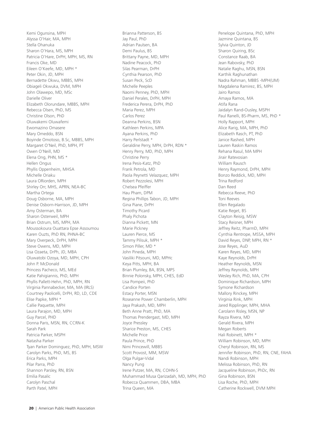Kemi Ogunsina, MPH Alyssa O'Hair, MA, MPH Stella Ohanuka Sharon O'Hara, MS, MPH Patricia O'Hare, DrPH, MPH, MS, RN Francis Oke, MD Eileen O'Keefe, MD, MPH \* Peter Okin, JD, MPH Bernadette Okwu, MBBS, MPH Obiageli Okwuka, DVM, MPH John Olawepo, MD, MSc Darielle Oliver Elizabeth Olorundare, MBBS, MPH Rebecca Olsen, PhD, MS Christine Olson, PhD Oluwakemi Oluwafemi Ewomazino Omasere Mary Omeddo, BSN Boyinde Omotoso, B.Sc, MBBS, MPH Margaret O'Neil, PhD, MPH, PT Owen O'Neill, MD Elena Ong, PHN, MS \* Hellen Ongus Phyllis Oppenheim, MHSA Michelle Oriaku Laura ORiorden, MPH Shirley Orr, MHS, APRN, NEA-BC Martha Ortega Doug Osborne, MA, MPH Denise Osborn-Harrison, JD, MPH Amy Osterman, BA Sharon Osterweil, MPH Brian Ostrum, MS, MPH, MA Moussokoura Ouattara Epse Assoumou Karen Ouzts, PhD RN, PHNA-BC Mary Overpeck, DrPH, MPH Steve Owens, MD, MPH Lisa Ozaeta, DrPh, JD, MBA Oluwatobi Ozoya, MD, MPH, CPH John P. McDonald Princess Pacheco, MS, MEd Katie Pahigiannis, PhD, MPH Phyllis Pallett-Hehn, PhD, MPH, RN Virginia Pannabecker, MA, MA (IRLS) Courtney Paolicelli, DrPH, RD, LD, CDE Elise Papke, MPH \* Callie Paquette, MPH Laura Parajon, MD, MPH Guy Parcel, PHD Donna Paris, MSN, RN, CCRN-K Sarah Park Patricia Parker, MSPH Natasha Parker Tyan Parker Dominguez, PhD, MPH, MSW Carolyn Parks, PhD, MS, BS Erica Parks, MPH Pilar Parra, PhD Shannon Parsley, RN, BSN Emilia Pasalic Carolyn Paschal Parth Patel, MPH

Brianna Patterson, BS Jay Paul, PhD Adrian Paulsen, BA Demi Paulus, BS Brittany Payne, MD, MPH Nadine Peacock, PhD Silas Pearman, DrPH Cynthia Pearson, PhD Susan Peck, ScD Michelle Peeples Naomi Penney, PhD, MPH Daniel Perales, DrPH, MPH Frederica Perera, DrPH, PhD Maria Perez, MPH Carlos Perez Deanna Perkins, BSN Kathleen Perkins, MPA Ayana Perkins, PhD Harry Perlstadt \* Geraldine Perry, MPH, DrPH, RDN \* Henry Perry, MD, PhD, MPH Christine Perry Irena Pesis-Katz, PhD Frank Petrola, MD Paola Peynetti Velazquez, MPH Robert Pezzolesi, MPH Chelsea Pfeiffer Hau Pham, DPM Regina Phillips Tabon, JD, MPH Gina Piane, DrPH Timothy Picard Phaly Pichota Dianna Pickett, MN Marie Pickney Lauren Pierce, MS Tammy Pilisuk, MPH \* Simon Piller, MD \* John Pineda, MPH Vasiliki Pitsouni, MD, MPHc Keya Pitts, MPH, BA Brian Plumley, BA, BSN, MPS Binnie Polonsky, MPH, CHES, EdD Lisa Pompeii, PhD Candice Porten Estacy Porter, MSN Roseanne Power Chamberlin, MPH Jaya Prakash, MD, MPH Beth Anne Pratt, PhD, MA Thomas Prendergast, MD, MPH Joyce Pressley Sharice Preston, MS, CHES Michelle Price Paula Prince, PhD Nimi Princewill, MBBS Scott Provost, MM, MSW Olga Pulgar-Vidal Nancy Pung Irene Putzer, MA, RN, COHN-S Muhammad Musa Qarizadah, MD, MPH, PhD Robecca Quammen, DBA, MBA Trina Queen, MA

Penelope Quintana, PhD, MPH Jazmine Quintana, BS Sylvia Quinton, JD Sharon Quiring, BSc Constance Raab, BA Jean Rabovsky, PhD Natalie Raghu, MSN, BSN Karthik Raghunathan Nadra Rahman, MBBS -MPH(UM) Magdalena Ramirez, BS, MPH Jairo Ramos Amaya Ramos, MA Atifa Rana Jaidalyn Rand-Ousley, MSPH Paul Ranelli, BS-Pharm, MS, PhD \* Holly Rapport, MPH Alice Rarig, MA, MPH, PhD Elizabeth Rasch, PT, PhD Janice Rashed, MPH Lauren Raskin Ramos Rehana Rasul, MA MPH Jirair Ratevosian William Rausch Henry Raymond, DrPH, MPH Bonzo Reddick, MD, MPH Trina Redford Dan Reed Rebecca Reeve, PhD Toni Reeves Ellen Regalado Katie Reget, BS Clayton Reisig, MSW Stacy Reisner, MPH Jeffrey Reitz, PharmD, MPH Cynthia Rentrope, MSSA, MPH David Reyes, DNP, MPH, RN \* Jose Reyes, AuD Karen Reyes, MD, MPH Kaye Reynolds, DrPH Heather Reynolds, MSN Jeffrey Reynolds, MPH Wesley Rich, PhD, MA, CPH Dominique Richardson, MPH Symone Richardson Mallory Rinckey, MPH Virginia Rink, MPH Jared Ripplinger, MPH, MHA Carolann Risley, MSN, NP Rayza Rivera, MD Gerald Rivera, MPH Megan Roberts Hali Robinett, MPH \* William Robinson, MD, MPH Cheryl Robinson, RN, MS Jennifer Robinson, PhD, RN, CNE, FAHA Nandi Robinson, MPH Melissa Robinson, PhD, RN Jacqueline Robinson, PhDc, RN Gina Robinson, BSN Lisa Roche, PhD, MPH Catherine Rockwell, DVM MPH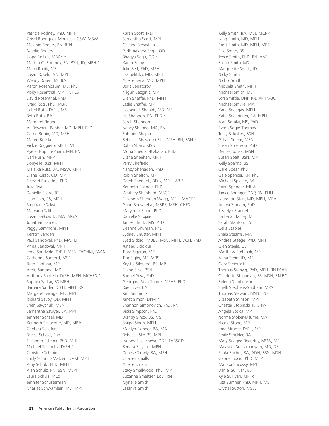Patricia Rodney, PhD, MPH Grisel Rodriguez-Morales, LCSW, MSW Melanie Rogers, RN, BSN Natalie Rogers Hope Rollins, MBAc \* Martha C. Romney, RN, BSN, JD, MPH \* Marci Ronik, MS Susan Roseli, LVN, MPH Wendy Rosen, BS, BA Aaron Rosenbaum, MS, PhD Abby Rosenthal, MPH, CHES David Rosenthal, PhD Craig Ross, PhD, MBA Isabel Roth, DrPH, MS Beth Roth, BA Margaret Round Ali Rowhani-Rahbar, MD, MPH, PhD Carrie Rubin, MD, MPH Mateo Rueda Vickie Ruggiero, MPH, LVT Ayelet Ruppin-Pham, MN, RN Carl Rush, MRP Donyelle Russ, MPH Malaika Russ, BA, MSW, MPH Diane Russo, OD, MPH Everard Rutledge, PhD Julia Ryan Daniella Saara, BS Leah Sain, BS, MPH Stephanie Sakyi Maryann Salib Susan Salkowitz, MA, MGA Jonathan Samet, Peggy Sammons, MPH Kerstin Sanders Paul Sandoval, PhD, MA,TLT Anna Sandoval, MPH Irene Sandvold, DrPH, MSN, FACNM, FAAN Catherine Sanford, MSPH Ruth Santana, MPH Arelis Santana, MD Anthony Santella, DrPH, MPH, MCHES \* Supriya Sarkar, BS MPH Barbara Sattler, DrPH, MPH, RN Margaret Savage, MD, MPH Richard Savoy, OD, MPH Sheri Sawchuk, MSN Samantha Sawyer, BA, MPH Jennifer Schaal, MD Kenneth Schachter, MD, MBA Chelsea Schafer Teresa Scheid, Phd Elizabeth Schenk, PhD, MHI Michael Schmeltz, DrPH \* Christine Schmidt Emily Schmitt-Matzen, DVM, MPH Amy Schulz, PhD, MPH Alan Schulz, RN, BSN, MSPH Laura Schulz, MEd Jennifer Schusterman Charles Schwamlein, MD, MPH

Karen Scott, MD \* Samantha Scott, MPH Cristina Sebastian Padhmalatha Segu, OD Bhagya Segu, OD \* Karen Selby Julie Self, PhD, MPH Lea Selitsky, MD, MPH Arlene Sena, MD, MPH Boris Senatorov Nilgun Sezginis, MPH Ellen Shaffer, PhD, MPH Leslie Shaffer, MPH Hosseinali Shahidi, MD, MPH Iris Shannon, RN, PhD \* Sarah Shannon Nancy Shapiro, MA, RN Ephraim Shapiro Rebecca Shasanmi-Ellis, MPH, RN, BSN \* Robin Shaw, MSN Mona Shediac-Rizkallah, PhD Diana Sheehan, MPH Perry Sheffield Nancy Shehadeh, PhD Robin Shelton, MPH Derek Shendell, DEnv, MPH, AB \* Kenneth Shenge, PhD Whitney Shephard, MSCE Elizabeth Sheridan Wagg, MPH, MACPR Gauri Shevatekar, MBBS, MPH, CHES Marybeth Shinn, PhD Danielle Shojaie James Shultz, MS, PhD Deanne Shuman, PhD Sydney Shuster, MPH Syed Siddiqi, MBBS, MSC, MPH, DCH, PhD Junaed Siddiqui Tiara Sigaran, MPH Tim Sigler, ME, MBS Krystal Silguero, BS, MPH Elaine Silva, BSN Raquel Silva, PhD Georgina Silva-Suarez, MPHE, PhD Rue Silver, BA Kim Simmons Janet Simon, DPM \* Shannon Simonovich, PhD, RN Vicki Simpson, PhD Brandy Sinco, BS, MS Shilpa Singh, MPH Marilyn Skipper, BA, MA Rebecca Sky, BS, MPH Lyubov Slashcheva, DDS, FABSCD Renata Slayton, MPH Denese Slowly, BA, MPH Charles Smalls Arlene Smalls Stacy Smallwood, PhD, MPH Suzanne Smeltzer, EdD, RN Myrielle Smith LaTanya Smith

Kelly Smith, BA, MSJ, MCRP Lang Smith, MD, MPH Brett Smith, MD, MPH, MBE Ellie Smith, BS Joyce Smith, PhD, RN, ANP Susan Smith, MS Marguerite Smith, JD Nicky Smith Nichol Smith Miquela Smith, MPH Michael Smith, MS Lori Smittle, DNP, RN, APHN-BC Michael Smylie, MA Karla Sneegas, MPH Katie Sneeringer, BA, MPH Alan Sofalvi, MS, PhD Byron Sogie-Thomas Tracy Sokolow, BSN Gillian Solem, MSN Susan Sorenson, PhD Denise Souza, MSN Susan Spalt, BSN, MPH Kelly Spanitz, BS Caile Spear, PhD Gale Spencer, RN, PhD Michael Splaine, BA Brian Springer, MHA Janice Springer, DNP, RN, PHN Laurentiu Stan, MD, MPH, MBA Aditya Stanam, PhD Joscelyn Stangel Barbara Stanley, MS Sarah Stanton, BS Celia Staples Shala Stearns, MA Andrea Steege, PhD, MPH Glen Steele, OD Matthew Stefanak, MPH Anna Stein, JD, MPH Cory Steinmetz Thomas Stenvig, PhD, MPH, RN FAAN Charlotte Stepanian, BS, MSN, RN-BC Rolena Stephenson Shelli Stephens-Stidham, MPA Thomas Stewart, MSN, FNP Elizabeth Stinson, MPH Chester Stobinski III, CHW Angela Stoica, MPH Norma Stoker-Mtume, MA Nicole Stone, MPH Irma Strantz, DrPH, MPH Emily Strickler, BA Mary Suagee-Beauduy, MSW, MPH Malavika Subramanyam, MD, DSc Paula Sucher, BA, ADN, BSN, MSN Gabriel Suciu, PhD, MSPH Marissa Sucosky, MPH Daniel Sullivan, BS Kyle Sullivan, MPHc Rita Sumner, PhD, MPH, MS Crystal Sutton, MSW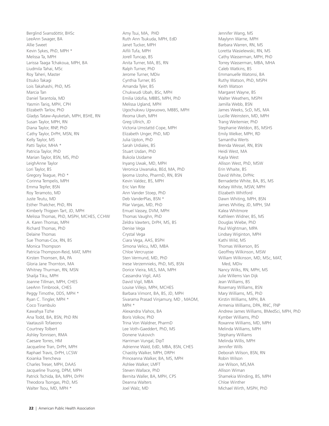Berglind Svansdóttir, BHSc LeeAnn Swager, BA Allie Sweet Kevin Sykes, PhD, MPH \* Melissa Ta, MPH Larissa Taaga Tchakoua, MPH, BA Liudmila Tahai, MSc Roy Taheri, Master Etsuko Takagi Lois Takahashi, PhD, MS Marcia Tan Daniel Tarantola, MD Yasmin Tariq, MPH, CPH Elizabeth Tarlov, PhD Gladys Tataw-Ayuketah, MPH, BSHE, RN Susan Taylor, MPH, RN Diana Taylor, RNP, PhD Cathy Taylor, DrPH, MSN, RN Kelly Taylor, MS Patti Taylor, MHA \* Patricia Taylor, PhD Marian Taylor, BSN, MS, PhD LeighAnne Taylor Lori Taylor, BS Gregory Teague, PhD \* Corinna Tempelis, MPH Emma Tepfer, BSN Roy Teramoto, MD Juste Teutu, MD Esther Thatcher, PhD, RN Kimberly Thigpen Tart, JD, MPH Melissa Thomas, PhD, MSPH, MCHES, CCHW A. Karen Thomas, MPH Richard Thomas, PhD Delaine Thomas Sue Thomas-Cox, RN, BS Monica Thompson Patricia Thompson-Reid, MAT, MPH Kirsten Thomsen, BA, PA Gloria Jane Thornton, MA Whitney Thurman, RN, MSN Shailja Tiku, MPH Joanne Tillman, MPH, CHES LeeAnn Timbrook, CHES Peggy Timothe, DDS, MPH \* Ryan C. Tingler, MPH \* Coco Tirambulo Kawahya Tizhe Ana Todd, BA, BSN, PhD RN Vaatausili Tofaeono Courtney Tolbert Ashley Tonnisen, RMA Caesare Torres, HM Jacqueline Tran, DrPH, MPH Raphael Travis, DrPH, LCSW Koianka Trencheva Charles Treser, MPH, DAAS Jacqueline Truong, DPM, MPH Patrick Tschida, BA, MPH, DrPH Theodora Tsongas, PhD, MS Walter Tsou, MD, MPH \*

Amy Tsui, MA, PHD Ruth Ann Tsukuda, MPH, EdD Janet Tucker, MPH Aifli Tufa, MPH Jorell Tuncap, BS Anita Turner, MA, BS, RN Ralph Turner, PhD Jerome Turner, MDiv Cynthia Turner, BS Amanda Tyler, BS Chukwudi Ubah, BSc, MPH Emilia Udofia, MBBS, MPH, PhD Melissa Ugland, MPH Ugochukwu Ugwuowo, MBBS, MPH Ifeoma Ukeh, MPH Greg Ullrich, JD Victoria Umstattd Cope, MPH Elizabeth Unger, PhD, MD Julia Upton, PhD Sarah Urdiales, BS Stuart Usdan, PhD Bukola Usidame Inyang Uwak, MD, MPH Veronica Uwanaka, BEd, MA, PhD Ijeoma Uzoho, PharmD, RN, BSN Kevin Valdez, BS, MPH Eric Van Rite Ann Vander Stoep, PhD Deb VanderPlas, BSN \* Pilar Vargas, MD, PhD Emuel Vassey, DVM, MPH Thomas Vaughn, PhD Zeldra Vawters, DrPH, MS, BS Denise Vega Crystal Vega Ciara Vega, AAS, BSPH Simona Velicu, MD, MBA Chloe Vercruysse Sten Vermund, MD, PhD Inese Verzemnieks, PhD, MS, BSN Dorice Vieira, MLS, MA, MPH Cassandra Vigil, AAS David Vigil, MBA Louise Villejo, MPH, MCHES Barbara Vimont, BA, BS, JD, MPH Sivarama Prasad Vinjamury, MD , MAOM, MPH \* Alexandra Vlahos, BA Boris Volkov, PhD Trina Von Waldner, PharmD Lee Voth-Gaeddert, PhD, MS Donene Vukovich Harriman Vungal, DipT Adrienne Wald, EdD, MBA, BSN, CHES Chastity Walker, MPH, DRPH Princeanna Walker, BA, MS, MPH Ashlee Walker, LMFT Steven Wallace, PhD Bernita Waller, BA, MPH, CPS Deanna Walters Joel Walz, MD

Jennifer Wang, MS Maylynn Warne, MPH Barbara Warren, RN, MS Loretta Wasielewski, RN, MS Cathy Wasserman, MPH, PhD Torrey Wasserman, MBA, MHA Caleb Watkins, BS Emmanuelle Watonsi, BA Ruthy Watson, PhD, MSPH Keith Watson Margaret Wayne, BS Walter Weathers, MSPH Jamilla Webb, BSN James Weeks, ScD, MS, MA Lucille Weinstein, MD, MPH Trang Weitemier, PhD Stephanie Weldon, BS, MSHS Emily Welker, MPH, RD Samantha Werts Brenda Wessel, RN, BSN Heidi West, MA Kayla West Allison West, PhD, MSW Erin Whaite, BS David White, DrPHc Bernadette White, BA, BS, MS Kelsey White, MSW, MPH Elizabeth Whitford Dawn Whiting, MPH, BSN James Whitley, JD, MPH, SM Kalea Whitmore Kathleen Widner, BS, MS Douglas Wiebe, PhD Paul Wightman, MPA Lindsey Wiginton, MPH Kathi Wild, MS Thomas Wilkerson, BS Geoffrey Wilkinson, MSW William Wilkinson, MD, MSc, MAT, Med, MDiv Nancy Wilks, RN, MPH, MS Julie Willems Van Dijk Jean Williams, BS Rosemary Williams, BSN Mary Williams, MS, PhD Kirstin Williams, MPH, BA Armenia Williams, DPA, RNC, FNP Andrew James Williams, BMedSci, MPH, PhD Kymber Williams, PhD Roxanne Williams, MD, MPH Melinda Williams, MPH Stephany Williams Melinda Willis, MPH Jennifer Wills Deborah Wilson, BSN, RN Robin Wilson Joe Wilson, MS,MA Allison Wiman Shamekia Winding, BS, MPH Chloe Winther Michael Wirth, MSPH, PhD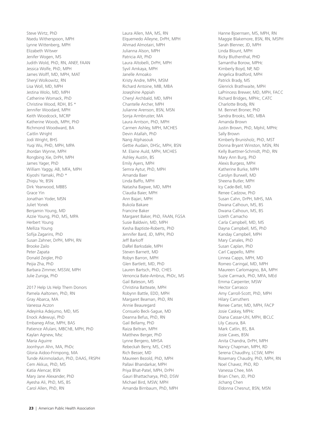Steve Wirtz, PhD Nsedu Witherspoon, MPH Lynne Wittenberg, MPH Elizabeth Witwer Jenifer Wogen, MS Judith Wold, PhD, RN, ANEF, FAAN Jessica Wolfe, PhD, MPH James Wolff, MD, MPH, MAT Sheryl Wolkowitz, RN Lisa Woll, MD, MPH Jestina Wolo, MD, MPH Catherine Womack, PhD Christine Wood, RDH, BS \* Jennifer Woodard, MPH Keith Woodcock, MCRP Katherine Woods, MPH, PhD Richmond Woodward, BA Caitlin Wright Jodi Wright, BHS Yuqi Wu, PHD, MPH, MPA Jhordan Wynne, MPH Rongbing Xie, DrPH, MPH James Yager, PhD William Yaggy, AB, MFA, MPH Kiyoshi Yamaki, PhD \* Zhiqiu Ye, BSN Dirk Yearwood, MBBS Grace Yin Jonathan Yoder, MSN Juliet Yonek Benjamin Young, MD Azzie Young, PhD, MS, MPA Herbert Young Melliza Young Sofja Zagarins, PhD Susan Zahner, DrPH, MPH, RN Brooke Zailo Peter Zapata Donald Zeigler, PhD Peijia Zha, PhD Barbara Zimmer, MSSW, MPH Julie Zuniga, PhD

2017 Help Us Help Them Donors Pamela Aaltonen, PhD, RN Gray Abarca, MA Vanessa Aczon Adeyinka Adejumo, MD, MS Enock Adewuyi, PhD Embaneg Afise, MPH, BAS Patience Afulani, MBChB, MPH, PhD Kaylan Agnew, Msc Maria Aguirre Joonhyun Ahn, MA, PhDc Gloria Aidoo-Frimpong, MA Tunde Akinmoladun, PhD, DAAS, FRSPH Cem Akkus, PhD, MS Katia Alencar, BSN Mary Jane Alexander, PhD Ayesha Ali, PhD, MS, BS Carol Allen, PhD, RN

Laura Allen, MA, MS, RN Elquemedo Alleyne, DrPH, MPH Ahmad Almotairi, MPH Julianna Alson, MPH Patricia Alt, PhD Laura Altobelli, DrPH, MPH Syvil Amkaya, MPH Janelle Amoako Kristy Andre, MPH, MSM Richard Antoine, MIB, MBA Josephine Appiah Cheryl Archbald, MD, MPH Chantelle Archer, MPH Julianne Arenson, BSN, MSN Sonja Armbruster, MA Laura Arntson, PhD, MPH Carmen Ashley, MPH, MCHES Devin Atallah, PhD Nang Atphasouk Gettie Audain, DHSc, MPH, BSN M. Elaine Auld, MPH, MCHES Ashley Austin, BS Emily Ayers, MPH Semra Aytur, PhD, MPH Amanda Baer Linda Baffo, MPH Natasha Bagwe, MD, MPH Claudia Baier, MPH Ann Bajari, MPH Bukola Bakare Francine Baker Margaret Baker, PhD, FAAN, FGSA Susie Baldwin, MD, MPH Kesha Baptiste-Roberts, PhD Jennifer Bard, JD, MPH, PhD Jeff Barkoff DaRel Barksdale, MPH Steven Barnett, MD Robyn Barron, MPH Glen Bartlett, MD, PhD Lauren Bartsch, PhD, CHES Venoncia Bate-Ambrus, PhDc, MS Gail Bateson, MS Christina Batteate, MPH Robynn Battle, EDD, MPH Margaret Beaman, PhD, RN Annie Beauregard Consuelo Beck-Sague, MD Deanna Befus, PhD, RN Gail Bellamy, PhD Raiza Beltran, MPH Matthew Berger, PhD Lynne Bergero, MHSA Rebeckah Berry, MS, CHES Rich Besser, MD Maureen Bezold, PhD, MPH Pallavi Bhandarkar, MPH Priya Bhat-Patel, MPH, DrPH Gauri Bhattacharya, PhD, DSW Michael Bird, MSW, MPH Amanda Birnbaum, PhD, MPH

Hanne Bjoernsen, MS, MPH, RN Maggie Blakemore, BSN, RN, MSPH Sarah Blenner, JD, MPH Linda Blount, MPH Ricky Bluthenthal, PHD Samantha Borow, MPHc Kimberly Boyd, NP, ND Angelica Bradford, MPH Patrick Brady, MS Glenrick Brathwaite, MPH LaPrincess Brewer, MD, MPH, FACC Richard Bridges, MPHc, CATC Charlotte Brody, RN M. Bennet Broner, PhD Sandra Brooks, MD, MBA Amanda Brown Justin Brown, PhD, Mphil, MPHc Sally Brown Kimberly Brunisholz, PhD, MST Donna Bryant Winston, MSN, RN Kelly Buettner-Schmidt, PhD, RN Mary Ann Burg, PhD Alexis Burgess, MPH Katherine Burke, MPH Carolyn Burwell, MD Sheena Butler, MPH Icy Cade-Bell, MD Renee Cadzow, PhD Susan Cahn, DrPH, MHS, MA Dwana Calhoun, MS, BS Dwana Calhoun, MS, BS Lizeth Camacho Carla Campbell, MD, MS Dayna Campbell, MS, PhD Kanday Campbell, MPH Mary Canales, PhD Susan Caplan, PhD Carl Cappello, MPH Linnea Capps, MPH, MD Romeo Caringal, MD, MPH Maureen Carlomagno, BA, MPH Suzie Carmack, PhD, MFA, MEd Emma Carpenter, MSW Hector Carrasco Amy Carroll-Scott, PhD, MPH Hilary Carruthers Renee Carter, MD, MPH, FACP Josie Caskey, MPHc Diana Cassar-Uhl, MPH, IBCLC Lily Casura, BA Mark Catlin, BS, BA Josie Caves, BSN Anita Chandra, DrPH, MPH Nancy Chapman, MPH, RD Serena Chaudhry, LCSW, MPH Rosemary Chaudry, PhD, MPH, RN Noel Chavez, PhD, RD Vanessa Chee, MA Brian Chen, JD, PhD Jichang Chen Eldonna Chesnut, BSN, MSN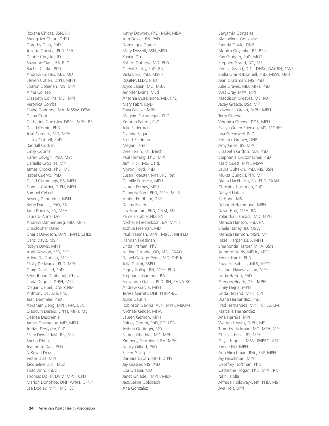Roxana Chicas, BSN, RN Shang-Jyh Chiou, DrPH Dorothy Chiu, PhD Juliette Christie, PhD, MA Denise Chrysler, JD Suzanne Clark, BS, PhD Rachel Clarke, PhD Andrew Coates, MA, MD Steven Cohen, DrPH, MPH Sharon Coleman, MS, MPH Alma Collazo Elizabeth Collins, MD, MPH Veronica Combs Elaine Congress, MA, MSSW, DSW Diana Conti Catherine Cooksley, DRPH, MPH, BS David Corbin, PhD Jose Cordero, MD, MPH Lesley Cottrell, PhD Randall Cottrell Emily Counts Karen Cowgill, PhD, MSc Danielle Crookes, MPH James Crooks, PhD, MS Isabel Cuervo, PhD David Cummings, BS, MPH Connie Currier, DrPH, MPH Samuel Cykert Beverly Dandridge, MSN Betty Daniels, PhD, RN Jane Daniels, PA, MPH Laura D'Anna, DrPH Andrew Dannenberg, MD, MPH Christopher David Charis Davidson, DrPH, MPH, CHES Carol Davis, MSPH Robyn Davis, MPH April Dawson, MD, MPH Adina De Coteau, MPH Molly De Marco, PhD, MPH Craig Dearfield, PhD Sengdhuan Defibaugh-Chavez Linda Degutis, DrPH, MSN Megan Deibel, DNP, CNM Anthony DeLucia, PhD Jean Demmler, PhD Abraham Deng, MPH, MA, BSC Oladoyin Desalu, DrPH, MPH, MS Desiree Deschenie James Devereaux, MD, MPH Jordan DeVylder, PhD Mary Dewar, MA, RN, MN Sneha Dhital Jeannette Diaz, PhD N'Keyah Diaz Victor Diaz, MPH Jacqueline Dick, MSc Thac Dinh, PhDc Thomas Doker, DVM, MPH, CPH Marion Donohoe, DNP, APRN, CPNP Lea Dooley, MPH, MCHES

Kathy Downey, PhD, MSN, MBA Ann Dozier, RN, PhD Dominique Drager Mary Driscoll, BSN, MPH Yuxian Du Robert Dubrow, MD, PhD Cheryl Easley, PhD, RN Vicki Ebin, PhD, MSPH REGINA ELLA, PHD Joyce Essien, MD, MBA Jennifer Evans, MEd Antonia Eyssallenne, MD, PhD Mary Fabri, PsyD Zoya Fansler, MPH Maryam Farzanegan, PhD Keturah Faurot, PhD Julie Federman Claudia Fegan Stuart Feldman Megan Ferrell Bree Ferrin, RN, BTech Paul Fleming, PhD, MPH Jami Flick, MS, OTRL Myron Floyd, PhD Susan Foerster, MPH, RD Ret Camille Fonseca, MPH Lauren Forbes, MPH Chandra Ford, PhD, MPH, MLIS Amber Fordham, DNP Deena Foster Lily Fountain, PhD, CNM, RN Pamela Frable, ND, RN Michelle Fredrickson, BA, MPHc Joshua Freeman, MD Paul Freeman, DrPH, MBBS, MHPED Hannah Friedman Linda Frisman, PhD Nadine Furtado, OD, MSc, FAAO Daniel Gallego-Perez, MD, DrPHc Julia Gallini, BSPH Peggy Gallup, RN, MPH, PhD Stephanie Gamboa, BA Alexandra Garcia, PhD, RN, PHNA-BC Andrew Garcia, MPH Teresa Garrett, DNP, PHNA-BC Joyce Gaufin Robinson Gaviria, ASN, MPH, MSOM Michael Gelder, MHA Lauren Gernon, MPH Shirley Gerrior, PhD, RD, LDN Joshua Gettinger, MD Fatima Ghaddar, MD, MPH Kimberly Giacalone, BA, MPH Nancy Gilbert, PhD Eileen Gillespie Barbara Giloth, MPH, DrPH Jay Glasser, MS, PhD Lisa Glasser, MD Janet Gniadek, MPH, MBA Jacqueline Goldbach Ana Gonzalez

Benjamin Gonzalez Mariaelena Gonzalez Brenda Gould, DNP Monica Goyanko, BS, BSN Kay Graham, PhD, MOT Stephen Grand, DC, MS Kenice Grand, D.C., DHSc, DACBN, CWP Stella Gran-ODonnell, PhD, MSW, MPH Jean Grassman, MS, PhD Julie Graves, MD, MPH, PhD Wes Gray, MPA, MPH Maddison Greaves, MS, RD Jacey Greece, DSc, MPH Lawrence Green, DrPH, MPH Terry Greene Veronica Greene, DDS, MPH Evelyn Green-Frierson, MS, MCHES Lisa Greenwell, PhD Jennifer Grenier, DNP Amy Grice, BS, MPH Elizabeth Griffith, MA, PhD Stephanie Grutzmacher, PhD Marc Guest, MPH, MSW Laura Gultekin, PhD, MS, BSN Mukta Gundi, BPTh, MPH Diana Hackbarth, RN, PhD, FAAN Christine Hackman, PhD Danyel Hafeez Jill Hahn, MS Deborah Hammond, MPH David Han, MPH, BA Yolandra Hancock, MD, MPH Monica Hanson, PhD, RN Sheila Harley, JD, MSW Monica Harmon, MSN, MPH Hazel Harper, DDS, MPH Sherhonda Harper, MHA, BSN Annette Harris, MPHc, MPPc Jenine Harris, PhD Ruaa Hassaballa, MLS, ASCP Eleanor Hayes-Larson, MPH Linda Hazlett, PhD Gregory Heath, DSc, MPH Emily Hejna, MPH Linda Helland, MPH, CPH Diana Hernandez, PhD Fred Hernandez, MPH, CHES, LMT Marcella Hernandez Ana Herrera, MPH Warren Hewitt, DrPH, MS Timothy Hickman, MD, MEd, MPH Chelsea Hicks, BS, MPH Gayle Higgins, MSN, PNPBC, AEC Janine Hill, MPH Ann Hirschman, RNc, FNP, MPH Jay Hirschman, MPH Geoffrey Hoffman, PhD Catherine Hogan, PhD, MPH, RN Nikhil Holla Alfreda Holloway-Beth, PHD, MS Ava Holt, DrPH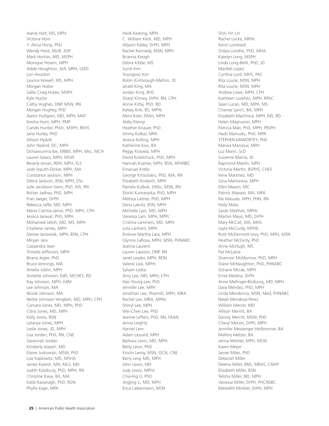Jeanie Holt, MS, MPH Victoria Hom Y. Alicia Hong, PhD Wendy Hord, MLIR, ASP Mark Horton, MD, MSPH Monique Hosein, MPH Adele Houghton, AIA, MPH, LEED Lori Houston Laurice Howell, MS, MPH Morgan Huber Sallie Craig Huber, MSPH Kyle Hucke Cathy Hughes, DNP, MSN, RN Morgan Hughey, PhD Aaron Hultgren, MD, MPH, MAT Keisha Hunt, MPH, PMP Candis Hunter, PhDc, MSPH, REHS Jane Hurley, PHD Allison Hydzik John Hyland, DC, MPH Ochiawunma Ibe, MBBS, MPH, Msc, MCH Lauren Isaacs, MPH, MSW Beverly Isman, RDH, MPH, ELS Leah Isquith-Dicker, MPH, MA Constance Jackson, MPH Debra Jackson, BSN, MPH, DSc Julie Jacobson Vann, PhD, MS, RN Rohan Jadhav, PhD, MPH Fran Jaeger, DrPH Rebecca Jaffe, MD, MPH Maria Catrina Jaime, PhD, MPH, CPH Jessica Jaiswal, PhD, MPH Mohamed Jalloh, MD, MS, MPH Charlene James, MPH Denise Janowiak, MPH, BSN, CPH Miryan Jara Cassandra Jean Trimella Jefferson, MPH Briana Jegier, PhD Bruce Jennings, MA Amelia Joblin, MPH Annette Johnson, EdD, MCHES, RD Kay Johnson, MPH, EdM Lee Johnson, MA Nicole Johnson, MA Nettie Johnson-Yengbeh, MD, MPH, CPH Camara Jones, MD, MPH, PhD Clara Jones, MD, MPH Kelly Jones, BSN Latanya Jones, MPH Leslie Jones, JD, MPH Lisa Jordan, PhD, RN, CNE Savannah Jordan Kimberly Joseph, MD Elaine Jurkowski, MSW, PhD Lisa Kaplowitz, MD, MSHA James Karesh, MA, MLS, MD Judith Katzburg, PhD, MPH, RN Christine Kava, BA, MA Katie Kavanagh, PhD, RDN Phyllis Kaye, MPA

Heidi Keating, MPH C. William Keck, MD, MPH Allyson Kelley, DrPH, MPH Rachel Kennedy, MSN, MPH Brianna Keogh Debra Kibbe, MS SunA Kim Youngsoo Kim Robin Kimbrough-Melton, JD Jerald King, MA Jordan King, BHS Sharyl Kinney, DrPH, RN, CPH Annie Kirby, PhD, RD Kelsey Kirk, BS, MPHc Mimi Kiser, DMin, MPH Abby Klemp Heather Knauer, PhD Jimmy Kolker, MPA Jessica Kolling, MPH Katherine Koo, BA Peggy Korpela, MPH David Kotelchuck, PhD, MPH Hannah Kramer, MPH, BSN, APHNBC Emanuel Krebs George Kritsotakis, PhD, MA, RN Elizabeth Kroboth, MPH Pamela Kulbok, DNSc, MSN, RN Shiriki Kumanyika, PhD, MPH Melissa Laitner, PhD, MPH Dena Lakritz, BSN, MPH Michelle Lam, MD, MPH Vanessa Lam, MPH, MPPc Cristina Lammers, MD, MPH Julia Lanham, MPH Dolores Martha Lara, MPH Glynnis LaRosa, MPH, MSN, PHNABC Jeanna Laurent Lauren Lawson, DNP, RN Janet Leader, MPH, RDN Valerie Leal, MPHc Sylvain Leduc Amy Lee, MD, MPH, CPH Hyo Young Lee, PhD Jennifer Lee, MPH Jonathan Lee, PharmD, MPH, MBA Rachel Lee, MBA, MPHc Sheryl Lee, MPH Wei-Chen Lee, PhD Jeanne Leffers, PhD, RN, FAAN Jenna Leighty Harriet Lem Adam Lessard, MPH Barbara Levin, MD, MPH Betty Levin, PhD Kristin Levoy, MSN, OCN, CNE Barry Levy, MD, MPH John Lewis, MD Judy Lewis, MPhil Chia-Ing LI, PhD Jingjing Li, MD, MPH Erica Liebermann, MSN

Shih-Yin Lin Rachel Locke, MPHc Kevin Lombard Shilpa Londhe, PhD, MHA Katelyn Long, MSPH Linda Long-Bellil, PhD, JD Maribel Lopez Cynthia Lord, MHS, PAC Rita Lourie, MSN, MPH Rita Lourie, MSN, MPH Andrea Lowe, MPH, CPH Kathleen Lozefski, MPH, RPAC Sean Lucan, MD, MPH, MS Chanee Lynch, BA, MPH Elizabeth Machnica, MPH, MS, RD Helen Magnuson, MPH Patricia Mail, PhD, MPH, FRSPH Hadii Mamudu, PhD, MPA STEPHEN MANORTEY, PhD Marwa Mansour, MPH Luz Marin, ScD Suzanne Marria, JD Raymond Martin, MPH Victoria Martin, BSPHS, CHES Irene Martinez, MD Gina Martorana, MPH Ellen Mason, MC Patrick Masseo, MA, MPA Rie Masuda, MPH, PHN, RN Holly Mata Sarah Matthes, MPHc Marlon Maus, MD, DrPH Mary McCall, MA, MHS Leyla McCurdy, MPHIL Ruth McDermott-Levy, PhD, MPH, MSN Heather McGinty, PhD Anne McHugh, MS Pat McLaine Shannon McMorrow, PhD, MPH Diane McNaughton, PhD, PHNABC Oshane Mcrae, MPH Ernie Medina, DrPH Anne Mellinger-Birdsong, MD, MPH Dara Mendez, PhD, MPH Linda Mendonca, MSN, Med, PHNABC Natali Mendoza-Perez William Mercer, MD Allison Merritt, BA Darcey Merritt, MSW, PhD Cheryl Merzel, DrPH, MPH Jennifer Messenger Heilbronner, BA Mallory Metzer, BA Janna Metzler, MPH, MSW Karen Meyer James Miles, PhD Deborah Miller Delena Miller, BNS, MRAS, CNHP Elizabeth Miller, BSN Telisha Miller, ND, MPH Vanessa Miller, DrPH, PHCNSBC Meredith Minkler, DrPH, MPH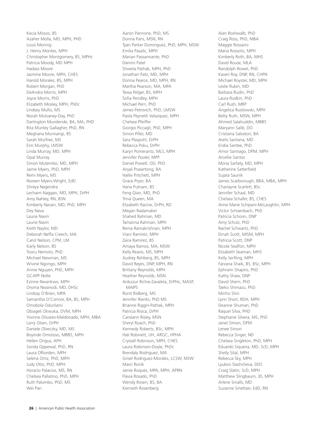Kecia Missos, BS Azaher Molla, MD, MPH, PHD Louis Monnig J. Henry Montes, MPH Christopher Montgomery, BS, MPHc Patricia Moody, MD MPH Hadass Moore Jasmine Moore, MPH, CHES Harold Morales, BS, MPH Robert Morgan, PhD DeAndra Morris, MPH Joyce Morris, PhD Elizabeth Mosley, MPH, PhDc Lindsey Mullis, MS Norah Mulvaney-Day, PhD Darlington Mundende, BA, MA, PHD Rita Munley Gallagher, PhD, RN Meghana Munnangi, BS Sarah Murfree, MS Erin Murphy, LMSW Linda Murray, MD, MPH Opal Murray Simon Mutembo, MD, MPH Jaime Myers, PhD, MPH Remi Myers, MS Noreen Myers-Wright, EdD Shreya Nagendra Lechaim Naggan, MD, MPH, DrPH Amy Nahley, RN, BSN Kimberly Narain, MD, PhD, MPH Dey Nava Laurie Navin Laurie Navin Keith Naylor, MD Deborah Neffa Creech, MA Carol Nelson, CPM, LM Karly Nelson, BS Tooru Nemoto, PhD Michael Newman, MS Wivine Ngongo, MPH Annie Nguyen, PhD, MPH GCAPP Nolte Ezinne Nwankwo, MPH Oroma Nwanodi, MD, DHSc Lindsay O'Brien, MPA Samantha O'Connor, BA, BS, MPH Omobola Odunlami Obiageli Okwuka, DVM, MPH Yvonne Olivares-Maldonado, MPH, MBA Larry Olsen, DrPH Daniele Olveczky, MD, MS Boyinde Omotoso, MBBS, MPH Hellen Ongus, APH Sonda Oppewal, PhD, RN Laura ORiorden, MPH Selena Ortiz, PhD, MPH Judy Otto, PhD, MPH Horacio Palacios, MS, RN Chelsea Pallatino, PhD, MPH Ruth Palombo, PhD, MS Wei Pan

Aaron Pannone, PhD, MS Donna Paris, MSN, RN Tyan Parker Dominguez, PhD, MPH, MSW Emilia Pasalic, MPH Marian Passannante, PhD Damini Patel Shweta Pathak, MPH, PhD Jonathan Patz, MD, MPH Donna Pearce, MD, MPH, RN Martha Pearson, MA, MPA Tessa Pelger, BS, MPH Sofia Pendley, MPH Michael Perri, PhD James Petrovich, PhD, LMSW Paola Peynetti Velazquez, MPH Chelsea Pfeiffer Giorgio Piccagli, PhD, MPH Simon Piller, MD Sara Plaspohl, DrPH Rebecca Poku, DrPH Karyn Pomerantz, MLS, MPH Jennifer Pooler, MPP Daniel Powell, OD, PhD Anjali Prasertong, BA Hallie Pritchett, MPH Grace Pryor, BA Hana Putnam, BS Feng Qian, MD, PhD Trina Queen, MA Elizabeth Racine, DrPH, RD Megan Radamaker Shahed Rahman, MD Tamanna Rahman, MPH Rema Ramakrishnan, MPH Viani Ramirez, MPH Zaira Ramirez, BS Amaya Ramos, MA, MSW Kelly Reavis, MS, MPH Audrey Rehberg, BS, MPH David Reyes, DNP, MPH, RN Brittany Reynolds, MPH Heather Reynolds, MSN Arduizur Richie-Zavaleta, DrPHc, MASP, MAIPS Ronit Ridberg, MS Jennifer Rienks, PhD MS Brianne Riggin-Pathak, MPH Patricia Risica, DrPH Carolann Risley, MSN Sheryl Roach, PhD Kennedy Roberts, BSc, MPH Hali Robinett, UH, ARGC, HPHA Crystall Robinson, MPH, CHES Laura Robinson-Doyle, PhDc Brendaly Rodriguez, MA Grisel Rodriguez-Morales, LCSW, MSW Marci Ronik Jamie Roques, MPA, MPH, APRN Flavia Rosado, PhD Wendy Rosen, BS, BA Kenneth Rosenberg

Alan Roshwalb, PhD Craig Ross, PhD, MBA Maggie Rossano Maria Rossoto, MPH Kimberly Roth, BA, MHS David Rouse, MLA Randolph Rowel, PhD Kaveri Roy, DNP, RN, CHPN Michael Royster, MD, MPH Leslie Rubin, MD Barbara Rudin, PhD Laura Rudkin, PhD Carl Rush, MRP Angelica Rusilowski, MPH Betty Ruth, MSW, MPH Ahmed Salahuddin, MBBS Maryann Salib, DO Cristiana Salvatori, BA Arelis Santana, MD Endia Santee, PhD Amor Santiago, DPM, MPH Arcellie Santos Mona Sarfaty, MD, MPH Katherine Satterfield Sujata Saunik James Scarborough, BBA, MBA, MPH Charlayne Scarlett, BSc Jennifer Schaal, MD Chelsea Schafer, BS, CHES Anne Marie Schipani-McLaughlin, MPH Victor Schoenbach, PhD Patricia Schoon, DNP Amy Schulz, PhD Rachel Schwartz, PhD Dinah Scott, MISM, MPH Patricia Scott, DNP Nicole Sealfon, MPH Elizabeth Seaman, MHS Kelly Serfing, MPH Farzana Shaik, BS, BSc, MPH Ephraim Shapiro, PhD Kathy Shaw, DNP David Shern, PhD Taeko Shimazu, PhD Minho Shin Lynn Short, RDH, MPH Deanne Shuman, PhD Raquel Silva, PHD Stephanie Silvera, MS, PhD Janet Simon, DPM Lenee Simon Rebecca Singer, ND Chelsea Singleton, PhD, MPH Eduardo Siqueira, MD, ScD, MPH Shelly Sital, MPH Rebecca Sky, MPH Lyubov Slashcheva, DDS Craig Slatin, ScD, MPH Matthew Slingbaum, JD, MPH Arlene Smalls, MD Suzanne Smeltzer, EdD, RN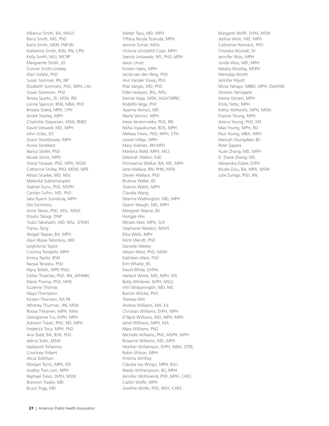Alkevius Smith, BA, MASS Barry Smith, MD, PhD Karla Smith, MSN, FNP-BC Katherine Smith, BSN, RN, CPN Kelly Smith, MSJ, MCRP Marguerite Smith, JD Connie Smith-Lindsey Alan Sofalvi, PhD Susan Sommer, RN, NP Elizabeth Sommers, PhD, MPH, LAc Susan Sorenson, PhD Teresa Sparks, JD, MSN, RN Lorine Spencer, BSN, MBA, PhD Brooke Staley, MPH, CPH André Stanley, MPH Charlotte Stepanian, MSN, RNBC David Steward, MD, MPH John Stites, DC Grace Stockbower, MPH Annie Stoddard Nancy Stoller, PhD Nicole Stone, MPH Sheryl Strasser, PhD, MPH, MSW Catherine Striley, PhD, MSW, MPE Alison Stuebe, MD, MSc Malavika Subramanyam Gabriel Suciu, PhD, MSPH Carolyn Sufrin, MD, PhD Jake Ryann Sumibcay, MPH Ola Sunmonu Anne Taiwo, PhD, MSc, MGIS Etsuko Takagi, DNP Yuiko Takahashi, MD, MSc, DTMH Tianyu Tang Abigail Tapper, BA, MPH Alain Blaise Tatsinkou, MD LeighAnne Taylor Corinna Tempelis, MPH Emma Tepfer, BSN Naoya Teraoka, PhD Myra Tetteh, MPP, PhDc Esther Thatcher, PhD, RN, APHNBC Marie Thoma, PhD, MHS Suzanne Thomas Maya Thompson Kirsten Thomsen, BA PA Whitney Thurman, RN, MSN Roosa Tikkanen, MPH, Mres Georgianne Tiu, DrPH, MPH Ashwini Tiwari, PhD, MS, MPH Frederick Toca, MPH, PhD Ana Todd, BA, BSN, PhD Jelena Todic, MSW Vaatausili Tofaeono Courtney Tolbert Alicia Tollefson Morgan Torris, MPA, MS Audrey Tran Lam, MPH Raphael Travis, DrPH, MSW Brannon Traxler, MD Bruce Trigg, MD

Walter Tsou, MD, MPH Tiffany Nicole Tsukuda, MPH Jerome Turner, MDiv Victoria Umstattd Cope, MPH Seema Untawale, MS, PhD, MPH Jason Urroz Kristen Vales, MPH Jacob van den Berg, PhD Ann Vander Stoep, PhD Pilar Vargas, MD, PhD Fidel Vazquez, BSc, MSc Denise Vega, MSN, AGACNPBC Rodolfo Vega, PhD Aparna Vemuri, MD Marlo Vernon, MPH Inese Verzemnieks, PhD, RN Nisha Vijayakumar, BDS, MPH Melissa Vilaro, PhD, MPH, CPH Louise Villejo, MPH Mary Volenec, RN MPH Marlena Wald, MPH, MLS Deborah Walker, EdD Princeanna Walker, BA, MS, MPH Jane Wallace, RN, PHN, MSN Steven Wallace, PhD Brianna Waller, BS Shanon Walsh, MPH Claudia Wang Deanna Wathington, MD, MPH Dyann Waugh, MD, MPH Margaret Wayne, BS Hongye Wei Miriam Weil, MPH, ScD Stephanie Weldon, MSHS Elisa Wells, MPH Minh Wendt, PhD Danielle Wesley Allison West, PhD, MSW Kathleen West, PhD Erin Whaite, BS David White, DrPHc Herbert White, MD, MPH, MS Betty Whitener, DrPH, MSLS Vitri Widyaningsih, MD, MS Burton Wilcke, PhD Theresa Will Andrea Williams, MA, Ed Christian Williams, DrPH, MPH D'Nyce Williams, MD, MPH, MPA Janet Williams, MPH, MA Mary Williams, PhD Michelle Williams, PhD, MSPH, MPH Roxanne Williams, MD, MPH Heather Williamson, DrPH, MBA, OTRL Robin Wilson, MPH Krishna Winfrey Claudia Joy Wingo, MPH, BSci Nsedu Witherspoon, BS, MPH Jennifer Wohlwend, PhD, MPH, CHES Caitlin Wolfe, MPH Josefine Wolfe, PhD, RDH, CHES

Margaret Wolff, DrPH, MSW Jestina Wolo, MD, MPH Catherine Womack, PhD Chizoba Wonodi, Dr Jennifer Woo, MPH Junda Woo, MD, MPH Natalia Woolley, MSPH Wensday Worth Jennifer Wyatt Musa Yahaya, MBBS, MPH, DipHSM Zentaro Yamagata Kesha Yansen, MPH Emily Yette, MPH Kathy Yorkievitz, MPH, MSW Dianne Young, MPH Jessica Young, PhD, MS Max Young, MPH, RD Paul Young, MBA, MPH Hannah Youngdeer, BS Peter Zapata Xuan Zhang, MD, MPH D. Diane Zheng, MS Alexandra Zuber, DrPH Nicole Zulu, BA, MPA, MSW Julie Zuniga, PhD, RN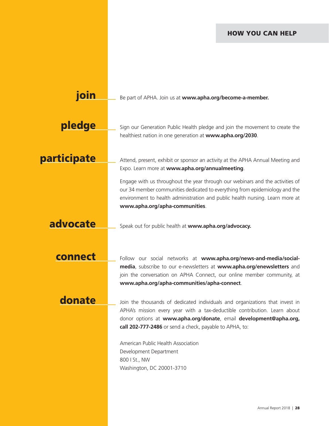#### HOW YOU CAN HELP